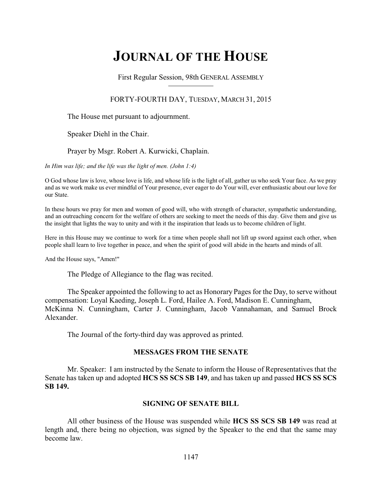# **JOURNAL OF THE HOUSE**

First Regular Session, 98th GENERAL ASSEMBLY

## FORTY-FOURTH DAY, TUESDAY, MARCH 31, 2015

The House met pursuant to adjournment.

Speaker Diehl in the Chair.

Prayer by Msgr. Robert A. Kurwicki, Chaplain.

*In Him was life; and the life was the light of men. (John 1:4)*

O God whose law is love, whose love is life, and whose life is the light of all, gather us who seek Your face. As we pray and as we work make us ever mindful of Your presence, ever eager to do Your will, ever enthusiastic about our love for our State.

In these hours we pray for men and women of good will, who with strength of character, sympathetic understanding, and an outreaching concern for the welfare of others are seeking to meet the needs of this day. Give them and give us the insight that lights the way to unity and with it the inspiration that leads us to become children of light.

Here in this House may we continue to work for a time when people shall not lift up sword against each other, when people shall learn to live together in peace, and when the spirit of good will abide in the hearts and minds of all.

And the House says, "Amen!"

The Pledge of Allegiance to the flag was recited.

The Speaker appointed the following to act as Honorary Pages for the Day, to serve without compensation: Loyal Kaeding, Joseph L. Ford, Hailee A. Ford, Madison E. Cunningham, McKinna N. Cunningham, Carter J. Cunningham, Jacob Vannahaman, and Samuel Brock Alexander.

The Journal of the forty-third day was approved as printed.

### **MESSAGES FROM THE SENATE**

Mr. Speaker: I am instructed by the Senate to inform the House of Representatives that the Senate has taken up and adopted **HCS SS SCS SB 149**, and has taken up and passed **HCS SS SCS SB 149.**

### **SIGNING OF SENATE BILL**

All other business of the House was suspended while **HCS SS SCS SB 149** was read at length and, there being no objection, was signed by the Speaker to the end that the same may become law.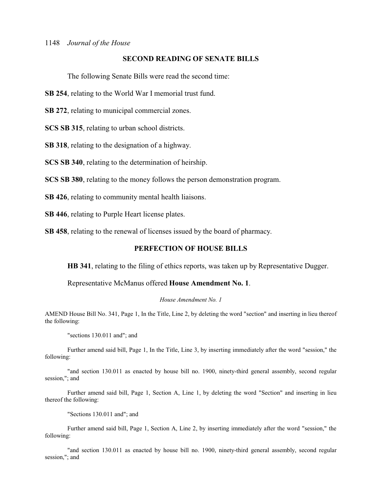#### **SECOND READING OF SENATE BILLS**

The following Senate Bills were read the second time:

**SB 254**, relating to the World War I memorial trust fund.

**SB 272**, relating to municipal commercial zones.

**SCS SB 315**, relating to urban school districts.

**SB 318**, relating to the designation of a highway.

**SCS SB 340**, relating to the determination of heirship.

**SCS SB 380**, relating to the money follows the person demonstration program.

**SB 426**, relating to community mental health liaisons.

**SB 446**, relating to Purple Heart license plates.

**SB 458**, relating to the renewal of licenses issued by the board of pharmacy.

### **PERFECTION OF HOUSE BILLS**

**HB 341**, relating to the filing of ethics reports, was taken up by Representative Dugger.

#### Representative McManus offered **House Amendment No. 1**.

#### *House Amendment No. 1*

AMEND House Bill No. 341, Page 1, In the Title, Line 2, by deleting the word "section" and inserting in lieu thereof the following:

"sections 130.011 and"; and

Further amend said bill, Page 1, In the Title, Line 3, by inserting immediately after the word "session," the following:

"and section 130.011 as enacted by house bill no. 1900, ninety-third general assembly, second regular session,"; and

Further amend said bill, Page 1, Section A, Line 1, by deleting the word "Section" and inserting in lieu thereof the following:

"Sections 130.011 and"; and

Further amend said bill, Page 1, Section A, Line 2, by inserting immediately after the word "session," the following:

"and section 130.011 as enacted by house bill no. 1900, ninety-third general assembly, second regular session,"; and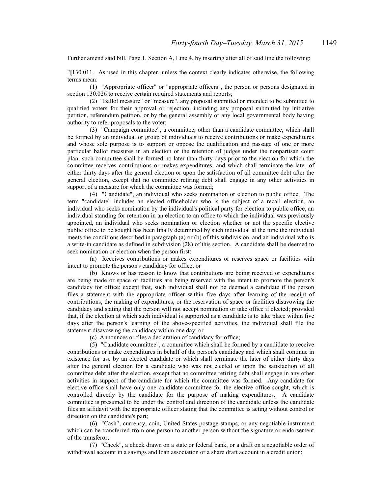Further amend said bill, Page 1, Section A, Line 4, by inserting after all of said line the following:

"**[**130.011. As used in this chapter, unless the context clearly indicates otherwise, the following terms mean:

(1) "Appropriate officer" or "appropriate officers", the person or persons designated in section 130.026 to receive certain required statements and reports;

(2) "Ballot measure" or "measure", any proposal submitted or intended to be submitted to qualified voters for their approval or rejection, including any proposal submitted by initiative petition, referendum petition, or by the general assembly or any local governmental body having authority to refer proposals to the voter;

(3) "Campaign committee", a committee, other than a candidate committee, which shall be formed by an individual or group of individuals to receive contributions or make expenditures and whose sole purpose is to support or oppose the qualification and passage of one or more particular ballot measures in an election or the retention of judges under the nonpartisan court plan, such committee shall be formed no later than thirty days prior to the election for which the committee receives contributions or makes expenditures, and which shall terminate the later of either thirty days after the general election or upon the satisfaction of all committee debt after the general election, except that no committee retiring debt shall engage in any other activities in support of a measure for which the committee was formed;

(4) "Candidate", an individual who seeks nomination or election to public office. The term "candidate" includes an elected officeholder who is the subject of a recall election, an individual who seeks nomination by the individual's political party for election to public office, an individual standing for retention in an election to an office to which the individual was previously appointed, an individual who seeks nomination or election whether or not the specific elective public office to be sought has been finally determined by such individual at the time the individual meets the conditions described in paragraph (a) or (b) of this subdivision, and an individual who is a write-in candidate as defined in subdivision (28) of this section. A candidate shall be deemed to seek nomination or election when the person first:

(a) Receives contributions or makes expenditures or reserves space or facilities with intent to promote the person's candidacy for office; or

(b) Knows or has reason to know that contributions are being received or expenditures are being made or space or facilities are being reserved with the intent to promote the person's candidacy for office; except that, such individual shall not be deemed a candidate if the person files a statement with the appropriate officer within five days after learning of the receipt of contributions, the making of expenditures, or the reservation of space or facilities disavowing the candidacy and stating that the person will not accept nomination or take office if elected; provided that, if the election at which such individual is supported as a candidate is to take place within five days after the person's learning of the above-specified activities, the individual shall file the statement disavowing the candidacy within one day; or

(c) Announces or files a declaration of candidacy for office;

(5) "Candidate committee", a committee which shall be formed by a candidate to receive contributions or make expenditures in behalf of the person's candidacy and which shall continue in existence for use by an elected candidate or which shall terminate the later of either thirty days after the general election for a candidate who was not elected or upon the satisfaction of all committee debt after the election, except that no committee retiring debt shall engage in any other activities in support of the candidate for which the committee was formed. Any candidate for elective office shall have only one candidate committee for the elective office sought, which is controlled directly by the candidate for the purpose of making expenditures. A candidate committee is presumed to be under the control and direction of the candidate unless the candidate files an affidavit with the appropriate officer stating that the committee is acting without control or direction on the candidate's part;

(6) "Cash", currency, coin, United States postage stamps, or any negotiable instrument which can be transferred from one person to another person without the signature or endorsement of the transferor;

(7) "Check", a check drawn on a state or federal bank, or a draft on a negotiable order of withdrawal account in a savings and loan association or a share draft account in a credit union;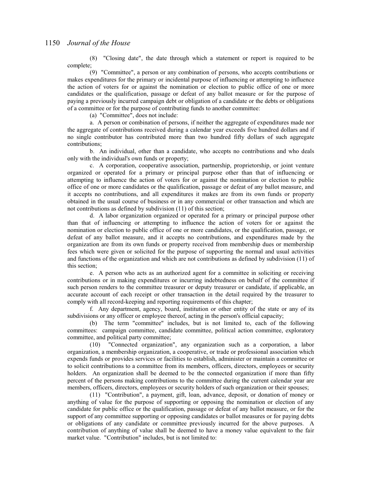(8) "Closing date", the date through which a statement or report is required to be complete;

(9) "Committee", a person or any combination of persons, who accepts contributions or makes expenditures for the primary or incidental purpose of influencing or attempting to influence the action of voters for or against the nomination or election to public office of one or more candidates or the qualification, passage or defeat of any ballot measure or for the purpose of paying a previously incurred campaign debt or obligation of a candidate or the debts or obligations of a committee or for the purpose of contributing funds to another committee:

(a) "Committee", does not include:

a. A person or combination of persons, if neither the aggregate of expenditures made nor the aggregate of contributions received during a calendar year exceeds five hundred dollars and if no single contributor has contributed more than two hundred fifty dollars of such aggregate contributions;

b. An individual, other than a candidate, who accepts no contributions and who deals only with the individual's own funds or property;

c. A corporation, cooperative association, partnership, proprietorship, or joint venture organized or operated for a primary or principal purpose other than that of influencing or attempting to influence the action of voters for or against the nomination or election to public office of one or more candidates or the qualification, passage or defeat of any ballot measure, and it accepts no contributions, and all expenditures it makes are from its own funds or property obtained in the usual course of business or in any commercial or other transaction and which are not contributions as defined by subdivision (11) of this section;

d. A labor organization organized or operated for a primary or principal purpose other than that of influencing or attempting to influence the action of voters for or against the nomination or election to public office of one or more candidates, or the qualification, passage, or defeat of any ballot measure, and it accepts no contributions, and expenditures made by the organization are from its own funds or property received from membership dues or membership fees which were given or solicited for the purpose of supporting the normal and usual activities and functions of the organization and which are not contributions as defined by subdivision (11) of this section;

e. A person who acts as an authorized agent for a committee in soliciting or receiving contributions or in making expenditures or incurring indebtedness on behalf of the committee if such person renders to the committee treasurer or deputy treasurer or candidate, if applicable, an accurate account of each receipt or other transaction in the detail required by the treasurer to comply with all record-keeping and reporting requirements of this chapter;

f. Any department, agency, board, institution or other entity of the state or any of its subdivisions or any officer or employee thereof, acting in the person's official capacity;

(b) The term "committee" includes, but is not limited to, each of the following committees: campaign committee, candidate committee, political action committee, exploratory committee, and political party committee;

(10) "Connected organization", any organization such as a corporation, a labor organization, a membership organization, a cooperative, or trade or professional association which expends funds or provides services or facilities to establish, administer or maintain a committee or to solicit contributions to a committee from its members, officers, directors, employees or security holders. An organization shall be deemed to be the connected organization if more than fifty percent of the persons making contributions to the committee during the current calendar year are members, officers, directors, employees or security holders of such organization or their spouses;

(11) "Contribution", a payment, gift, loan, advance, deposit, or donation of money or anything of value for the purpose of supporting or opposing the nomination or election of any candidate for public office or the qualification, passage or defeat of any ballot measure, or for the support of any committee supporting or opposing candidates or ballot measures or for paying debts or obligations of any candidate or committee previously incurred for the above purposes. A contribution of anything of value shall be deemed to have a money value equivalent to the fair market value. "Contribution" includes, but is not limited to: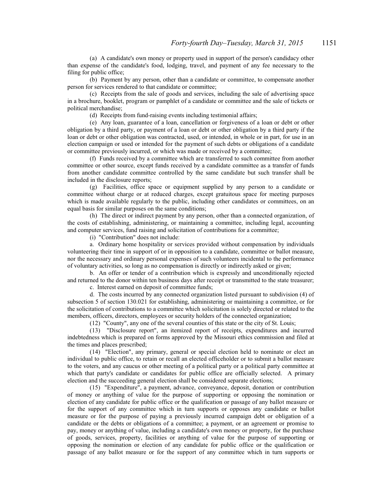(a) A candidate's own money or property used in support of the person's candidacy other than expense of the candidate's food, lodging, travel, and payment of any fee necessary to the filing for public office;

(b) Payment by any person, other than a candidate or committee, to compensate another person for services rendered to that candidate or committee;

(c) Receipts from the sale of goods and services, including the sale of advertising space in a brochure, booklet, program or pamphlet of a candidate or committee and the sale of tickets or political merchandise;

(d) Receipts from fund-raising events including testimonial affairs;

(e) Any loan, guarantee of a loan, cancellation or forgiveness of a loan or debt or other obligation by a third party, or payment of a loan or debt or other obligation by a third party if the loan or debt or other obligation was contracted, used, or intended, in whole or in part, for use in an election campaign or used or intended for the payment of such debts or obligations of a candidate or committee previously incurred, or which was made or received by a committee;

(f) Funds received by a committee which are transferred to such committee from another committee or other source, except funds received by a candidate committee as a transfer of funds from another candidate committee controlled by the same candidate but such transfer shall be included in the disclosure reports;

(g) Facilities, office space or equipment supplied by any person to a candidate or committee without charge or at reduced charges, except gratuitous space for meeting purposes which is made available regularly to the public, including other candidates or committees, on an equal basis for similar purposes on the same conditions;

(h) The direct or indirect payment by any person, other than a connected organization, of the costs of establishing, administering, or maintaining a committee, including legal, accounting and computer services, fund raising and solicitation of contributions for a committee;

(i) "Contribution" does not include:

a. Ordinary home hospitality or services provided without compensation by individuals volunteering their time in support of or in opposition to a candidate, committee or ballot measure, nor the necessary and ordinary personal expenses of such volunteers incidental to the performance of voluntary activities, so long as no compensation is directly or indirectly asked or given;

b. An offer or tender of a contribution which is expressly and unconditionally rejected and returned to the donor within ten business days after receipt or transmitted to the state treasurer; c. Interest earned on deposit of committee funds;

d. The costs incurred by any connected organization listed pursuant to subdivision (4) of subsection 5 of section 130.021 for establishing, administering or maintaining a committee, or for the solicitation of contributions to a committee which solicitation is solely directed or related to the members, officers, directors, employees or security holders of the connected organization;

(12) "County", any one of the several counties of this state or the city of St. Louis;

(13) "Disclosure report", an itemized report of receipts, expenditures and incurred indebtedness which is prepared on forms approved by the Missouri ethics commission and filed at the times and places prescribed;

(14) "Election", any primary, general or special election held to nominate or elect an individual to public office, to retain or recall an elected officeholder or to submit a ballot measure to the voters, and any caucus or other meeting of a political party or a political party committee at which that party's candidate or candidates for public office are officially selected. A primary election and the succeeding general election shall be considered separate elections;

(15) "Expenditure", a payment, advance, conveyance, deposit, donation or contribution of money or anything of value for the purpose of supporting or opposing the nomination or election of any candidate for public office or the qualification or passage of any ballot measure or for the support of any committee which in turn supports or opposes any candidate or ballot measure or for the purpose of paying a previously incurred campaign debt or obligation of a candidate or the debts or obligations of a committee; a payment, or an agreement or promise to pay, money or anything of value, including a candidate's own money or property, for the purchase of goods, services, property, facilities or anything of value for the purpose of supporting or opposing the nomination or election of any candidate for public office or the qualification or passage of any ballot measure or for the support of any committee which in turn supports or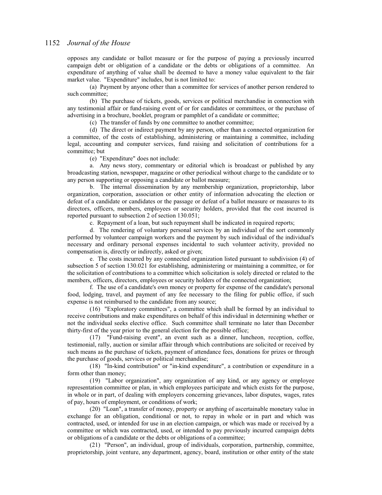opposes any candidate or ballot measure or for the purpose of paying a previously incurred campaign debt or obligation of a candidate or the debts or obligations of a committee. An expenditure of anything of value shall be deemed to have a money value equivalent to the fair market value. "Expenditure" includes, but is not limited to:

(a) Payment by anyone other than a committee for services of another person rendered to such committee;

(b) The purchase of tickets, goods, services or political merchandise in connection with any testimonial affair or fund-raising event of or for candidates or committees, or the purchase of advertising in a brochure, booklet, program or pamphlet of a candidate or committee;

(c) The transfer of funds by one committee to another committee;

(d) The direct or indirect payment by any person, other than a connected organization for a committee, of the costs of establishing, administering or maintaining a committee, including legal, accounting and computer services, fund raising and solicitation of contributions for a committee; but

(e) "Expenditure" does not include:

a. Any news story, commentary or editorial which is broadcast or published by any broadcasting station, newspaper, magazine or other periodical without charge to the candidate or to any person supporting or opposing a candidate or ballot measure;

b. The internal dissemination by any membership organization, proprietorship, labor organization, corporation, association or other entity of information advocating the election or defeat of a candidate or candidates or the passage or defeat of a ballot measure or measures to its directors, officers, members, employees or security holders, provided that the cost incurred is reported pursuant to subsection 2 of section 130.051;

c. Repayment of a loan, but such repayment shall be indicated in required reports;

d. The rendering of voluntary personal services by an individual of the sort commonly performed by volunteer campaign workers and the payment by such individual of the individual's necessary and ordinary personal expenses incidental to such volunteer activity, provided no compensation is, directly or indirectly, asked or given;

e. The costs incurred by any connected organization listed pursuant to subdivision (4) of subsection 5 of section 130.021 for establishing, administering or maintaining a committee, or for the solicitation of contributions to a committee which solicitation is solely directed or related to the members, officers, directors, employees or security holders of the connected organization;

f. The use of a candidate's own money or property for expense of the candidate's personal food, lodging, travel, and payment of any fee necessary to the filing for public office, if such expense is not reimbursed to the candidate from any source;

(16) "Exploratory committees", a committee which shall be formed by an individual to receive contributions and make expenditures on behalf of this individual in determining whether or not the individual seeks elective office. Such committee shall terminate no later than December thirty-first of the year prior to the general election for the possible office;

(17) "Fund-raising event", an event such as a dinner, luncheon, reception, coffee, testimonial, rally, auction or similar affair through which contributions are solicited or received by such means as the purchase of tickets, payment of attendance fees, donations for prizes or through the purchase of goods, services or political merchandise;

(18) "In-kind contribution" or "in-kind expenditure", a contribution or expenditure in a form other than money;

(19) "Labor organization", any organization of any kind, or any agency or employee representation committee or plan, in which employees participate and which exists for the purpose, in whole or in part, of dealing with employers concerning grievances, labor disputes, wages, rates of pay, hours of employment, or conditions of work;

(20) "Loan", a transfer of money, property or anything of ascertainable monetary value in exchange for an obligation, conditional or not, to repay in whole or in part and which was contracted, used, or intended for use in an election campaign, or which was made or received by a committee or which was contracted, used, or intended to pay previously incurred campaign debts or obligations of a candidate or the debts or obligations of a committee;

(21) "Person", an individual, group of individuals, corporation, partnership, committee, proprietorship, joint venture, any department, agency, board, institution or other entity of the state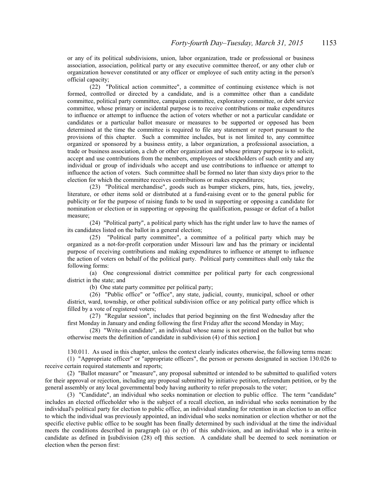or any of its political subdivisions, union, labor organization, trade or professional or business association, association, political party or any executive committee thereof, or any other club or organization however constituted or any officer or employee of such entity acting in the person's official capacity;

(22) "Political action committee", a committee of continuing existence which is not formed, controlled or directed by a candidate, and is a committee other than a candidate committee, political party committee, campaign committee, exploratory committee, or debt service committee, whose primary or incidental purpose is to receive contributions or make expenditures to influence or attempt to influence the action of voters whether or not a particular candidate or candidates or a particular ballot measure or measures to be supported or opposed has been determined at the time the committee is required to file any statement or report pursuant to the provisions of this chapter. Such a committee includes, but is not limited to, any committee organized or sponsored by a business entity, a labor organization, a professional association, a trade or business association, a club or other organization and whose primary purpose is to solicit, accept and use contributions from the members, employees or stockholders of such entity and any individual or group of individuals who accept and use contributions to influence or attempt to influence the action of voters. Such committee shall be formed no later than sixty days prior to the election for which the committee receives contributions or makes expenditures;

(23) "Political merchandise", goods such as bumper stickers, pins, hats, ties, jewelry, literature, or other items sold or distributed at a fund-raising event or to the general public for publicity or for the purpose of raising funds to be used in supporting or opposing a candidate for nomination or election or in supporting or opposing the qualification, passage or defeat of a ballot measure;

(24) "Political party", a political party which has the right under law to have the names of its candidates listed on the ballot in a general election;

(25) "Political party committee", a committee of a political party which may be organized as a not-for-profit corporation under Missouri law and has the primary or incidental purpose of receiving contributions and making expenditures to influence or attempt to influence the action of voters on behalf of the political party. Political party committees shall only take the following forms:

(a) One congressional district committee per political party for each congressional district in the state; and

(b) One state party committee per political party;

(26) "Public office" or "office", any state, judicial, county, municipal, school or other district, ward, township, or other political subdivision office or any political party office which is filled by a vote of registered voters;

(27) "Regular session", includes that period beginning on the first Wednesday after the first Monday in January and ending following the first Friday after the second Monday in May;

(28) "Write-in candidate", an individual whose name is not printed on the ballot but who otherwise meets the definition of candidate in subdivision (4) of this section.**]**

130.011. As used in this chapter, unless the context clearly indicates otherwise, the following terms mean:

(1) "Appropriate officer" or "appropriate officers", the person or persons designated in section 130.026 to receive certain required statements and reports;

(2) "Ballot measure" or "measure", any proposal submitted or intended to be submitted to qualified voters for their approval or rejection, including any proposal submitted by initiative petition, referendum petition, or by the general assembly or any local governmental body having authority to refer proposals to the voter;

(3) "Candidate", an individual who seeks nomination or election to public office. The term "candidate" includes an elected officeholder who is the subject of a recall election, an individual who seeks nomination by the individual's political party for election to public office, an individual standing for retention in an election to an office to which the individual was previously appointed, an individual who seeks nomination or election whether or not the specific elective public office to be sought has been finally determined by such individual at the time the individual meets the conditions described in paragraph (a) or (b) of this subdivision, and an individual who is a write-in candidate as defined in **[**subdivision (28) of**]** this section. A candidate shall be deemed to seek nomination or election when the person first: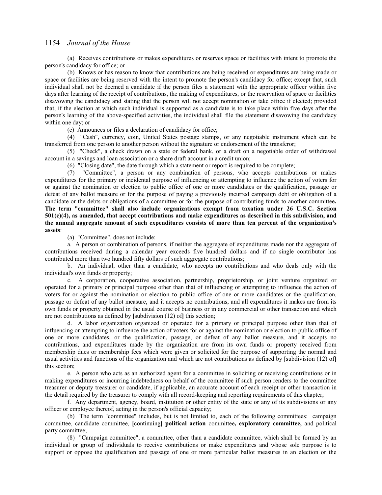(a) Receives contributions or makes expenditures or reserves space or facilities with intent to promote the person's candidacy for office; or

(b) Knows or has reason to know that contributions are being received or expenditures are being made or space or facilities are being reserved with the intent to promote the person's candidacy for office; except that, such individual shall not be deemed a candidate if the person files a statement with the appropriate officer within five days after learning of the receipt of contributions, the making of expenditures, or the reservation of space or facilities disavowing the candidacy and stating that the person will not accept nomination or take office if elected; provided that, if the election at which such individual is supported as a candidate is to take place within five days after the person's learning of the above-specified activities, the individual shall file the statement disavowing the candidacy within one day; or

(c) Announces or files a declaration of candidacy for office;

(4) "Cash", currency, coin, United States postage stamps, or any negotiable instrument which can be transferred from one person to another person without the signature or endorsement of the transferor;

(5) "Check", a check drawn on a state or federal bank, or a draft on a negotiable order of withdrawal account in a savings and loan association or a share draft account in a credit union;

(6) "Closing date", the date through which a statement or report is required to be complete;

(7) "Committee", a person or any combination of persons, who accepts contributions or makes expenditures for the primary or incidental purpose of influencing or attempting to influence the action of voters for or against the nomination or election to public office of one or more candidates or the qualification, passage or defeat of any ballot measure or for the purpose of paying a previously incurred campaign debt or obligation of a candidate or the debts or obligations of a committee or for the purpose of contributing funds to another committee**. The term "committee" shall also include organizations exempt from taxation under 26 U.S.C. Section 501(c)(4), as amended, that accept contributions and make expenditures as described in this subdivision, and the annual aggregate amount of such expenditures consists of more than ten percent of the organization's assets**:

(a) "Committee", does not include:

a. A person or combination of persons, if neither the aggregate of expenditures made nor the aggregate of contributions received during a calendar year exceeds five hundred dollars and if no single contributor has contributed more than two hundred fifty dollars of such aggregate contributions;

b. An individual, other than a candidate, who accepts no contributions and who deals only with the individual's own funds or property;

c. A corporation, cooperative association, partnership, proprietorship, or joint venture organized or operated for a primary or principal purpose other than that of influencing or attempting to influence the action of voters for or against the nomination or election to public office of one or more candidates or the qualification, passage or defeat of any ballot measure, and it accepts no contributions, and all expenditures it makes are from its own funds or property obtained in the usual course of business or in any commercial or other transaction and which are not contributions as defined by **[**subdivision (12) of**]** this section;

d. A labor organization organized or operated for a primary or principal purpose other than that of influencing or attempting to influence the action of voters for or against the nomination or election to public office of one or more candidates, or the qualification, passage, or defeat of any ballot measure, and it accepts no contributions, and expenditures made by the organization are from its own funds or property received from membership dues or membership fees which were given or solicited for the purpose of supporting the normal and usual activities and functions of the organization and which are not contributions as defined by **[**subdivision (12) of**]** this section;

e. A person who acts as an authorized agent for a committee in soliciting or receiving contributions or in making expenditures or incurring indebtedness on behalf of the committee if such person renders to the committee treasurer or deputy treasurer or candidate, if applicable, an accurate account of each receipt or other transaction in the detail required by the treasurer to comply with all record-keeping and reporting requirements of this chapter;

f. Any department, agency, board, institution or other entity of the state or any of its subdivisions or any officer or employee thereof, acting in the person's official capacity;

(b) The term "committee" includes, but is not limited to, each of the following committees: campaign committee, candidate committee, **[**continuing**] political action** committee**, exploratory committee,** and political party committee;

(8) "Campaign committee", a committee, other than a candidate committee, which shall be formed by an individual or group of individuals to receive contributions or make expenditures and whose sole purpose is to support or oppose the qualification and passage of one or more particular ballot measures in an election or the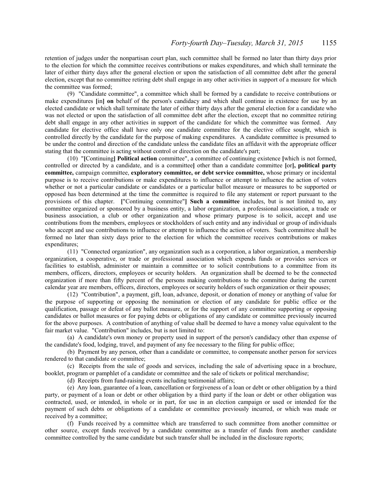retention of judges under the nonpartisan court plan, such committee shall be formed no later than thirty days prior to the election for which the committee receives contributions or makes expenditures, and which shall terminate the later of either thirty days after the general election or upon the satisfaction of all committee debt after the general election, except that no committee retiring debt shall engage in any other activities in support of a measure for which the committee was formed;

(9) "Candidate committee", a committee which shall be formed by a candidate to receive contributions or make expenditures **[**in**] on** behalf of the person's candidacy and which shall continue in existence for use by an elected candidate or which shall terminate the later of either thirty days after the general election for a candidate who was not elected or upon the satisfaction of all committee debt after the election, except that no committee retiring debt shall engage in any other activities in support of the candidate for which the committee was formed. Any candidate for elective office shall have only one candidate committee for the elective office sought, which is controlled directly by the candidate for the purpose of making expenditures. A candidate committee is presumed to be under the control and direction of the candidate unless the candidate files an affidavit with the appropriate officer stating that the committee is acting without control or direction on the candidate's part;

(10) "**[**Continuing**] Political action** committee", a committee of continuing existence **[**which is not formed, controlled or directed by a candidate, and is a committee**]** other than a candidate committee **[**or**], political party committee,** campaign committee, **exploratory committee, or debt service committee,** whose primary or incidental purpose is to receive contributions or make expenditures to influence or attempt to influence the action of voters whether or not a particular candidate or candidates or a particular ballot measure or measures to be supported or opposed has been determined at the time the committee is required to file any statement or report pursuant to the provisions of this chapter. **[**"Continuing committee"**] Such a committee** includes, but is not limited to, any committee organized or sponsored by a business entity, a labor organization, a professional association, a trade or business association, a club or other organization and whose primary purpose is to solicit, accept and use contributions from the members, employees or stockholders of such entity and any individual or group of individuals who accept and use contributions to influence or attempt to influence the action of voters. Such committee shall be formed no later than sixty days prior to the election for which the committee receives contributions or makes expenditures;

(11) "Connected organization", any organization such as a corporation, a labor organization, a membership organization, a cooperative, or trade or professional association which expends funds or provides services or facilities to establish, administer or maintain a committee or to solicit contributions to a committee from its members, officers, directors, employees or security holders. An organization shall be deemed to be the connected organization if more than fifty percent of the persons making contributions to the committee during the current calendar year are members, officers, directors, employees or security holders of such organization or their spouses;

(12) "Contribution", a payment, gift, loan, advance, deposit, or donation of money or anything of value for the purpose of supporting or opposing the nomination or election of any candidate for public office or the qualification, passage or defeat of any ballot measure, or for the support of any committee supporting or opposing candidates or ballot measures or for paying debts or obligations of any candidate or committee previously incurred for the above purposes. A contribution of anything of value shall be deemed to have a money value equivalent to the fair market value. "Contribution" includes, but is not limited to:

(a) A candidate's own money or property used in support of the person's candidacy other than expense of the candidate's food, lodging, travel, and payment of any fee necessary to the filing for public office;

(b) Payment by any person, other than a candidate or committee, to compensate another person for services rendered to that candidate or committee;

(c) Receipts from the sale of goods and services, including the sale of advertising space in a brochure, booklet, program or pamphlet of a candidate or committee and the sale of tickets or political merchandise;

(d) Receipts from fund-raising events including testimonial affairs;

(e) Any loan, guarantee of a loan, cancellation or forgiveness of a loan or debt or other obligation by a third party, or payment of a loan or debt or other obligation by a third party if the loan or debt or other obligation was contracted, used, or intended, in whole or in part, for use in an election campaign or used or intended for the payment of such debts or obligations of a candidate or committee previously incurred, or which was made or received by a committee;

(f) Funds received by a committee which are transferred to such committee from another committee or other source, except funds received by a candidate committee as a transfer of funds from another candidate committee controlled by the same candidate but such transfer shall be included in the disclosure reports;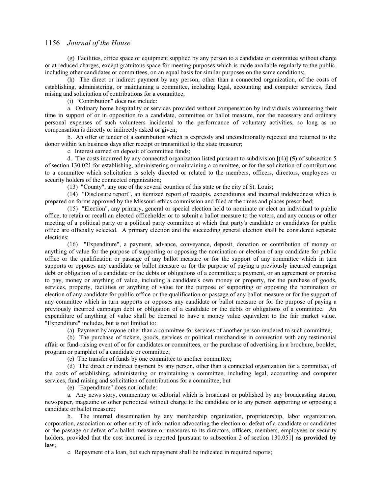(g) Facilities, office space or equipment supplied by any person to a candidate or committee without charge or at reduced charges, except gratuitous space for meeting purposes which is made available regularly to the public, including other candidates or committees, on an equal basis for similar purposes on the same conditions;

(h) The direct or indirect payment by any person, other than a connected organization, of the costs of establishing, administering, or maintaining a committee, including legal, accounting and computer services, fund raising and solicitation of contributions for a committee;

(i) "Contribution" does not include:

a. Ordinary home hospitality or services provided without compensation by individuals volunteering their time in support of or in opposition to a candidate, committee or ballot measure, nor the necessary and ordinary personal expenses of such volunteers incidental to the performance of voluntary activities, so long as no compensation is directly or indirectly asked or given;

b. An offer or tender of a contribution which is expressly and unconditionally rejected and returned to the donor within ten business days after receipt or transmitted to the state treasurer;

c. Interest earned on deposit of committee funds;

d. The costs incurred by any connected organization listed pursuant to subdivision **[**(4)**] (5)** of subsection 5 of section 130.021 for establishing, administering or maintaining a committee, or for the solicitation of contributions to a committee which solicitation is solely directed or related to the members, officers, directors, employees or security holders of the connected organization;

(13) "County", any one of the several counties of this state or the city of St. Louis;

(14) "Disclosure report", an itemized report of receipts, expenditures and incurred indebtedness which is prepared on forms approved by the Missouri ethics commission and filed at the times and places prescribed;

(15) "Election", any primary, general or special election held to nominate or elect an individual to public office, to retain or recall an elected officeholder or to submit a ballot measure to the voters, and any caucus or other meeting of a political party or a political party committee at which that party's candidate or candidates for public office are officially selected. A primary election and the succeeding general election shall be considered separate elections;

(16) "Expenditure", a payment, advance, conveyance, deposit, donation or contribution of money or anything of value for the purpose of supporting or opposing the nomination or election of any candidate for public office or the qualification or passage of any ballot measure or for the support of any committee which in turn supports or opposes any candidate or ballot measure or for the purpose of paying a previously incurred campaign debt or obligation of a candidate or the debts or obligations of a committee; a payment, or an agreement or promise to pay, money or anything of value, including a candidate's own money or property, for the purchase of goods, services, property, facilities or anything of value for the purpose of supporting or opposing the nomination or election of any candidate for public office or the qualification or passage of any ballot measure or for the support of any committee which in turn supports or opposes any candidate or ballot measure or for the purpose of paying a previously incurred campaign debt or obligation of a candidate or the debts or obligations of a committee. An expenditure of anything of value shall be deemed to have a money value equivalent to the fair market value. "Expenditure" includes, but is not limited to:

(a) Payment by anyone other than a committee for services of another person rendered to such committee;

(b) The purchase of tickets, goods, services or political merchandise in connection with any testimonial affair or fund-raising event of or for candidates or committees, or the purchase of advertising in a brochure, booklet, program or pamphlet of a candidate or committee;

(c) The transfer of funds by one committee to another committee;

(d) The direct or indirect payment by any person, other than a connected organization for a committee, of the costs of establishing, administering or maintaining a committee, including legal, accounting and computer services, fund raising and solicitation of contributions for a committee; but

(e) "Expenditure" does not include:

a. Any news story, commentary or editorial which is broadcast or published by any broadcasting station, newspaper, magazine or other periodical without charge to the candidate or to any person supporting or opposing a candidate or ballot measure;

b. The internal dissemination by any membership organization, proprietorship, labor organization, corporation, association or other entity of information advocating the election or defeat of a candidate or candidates or the passage or defeat of a ballot measure or measures to its directors, officers, members, employees or security holders, provided that the cost incurred is reported **[**pursuant to subsection 2 of section 130.051**] as provided by law**;

c. Repayment of a loan, but such repayment shall be indicated in required reports;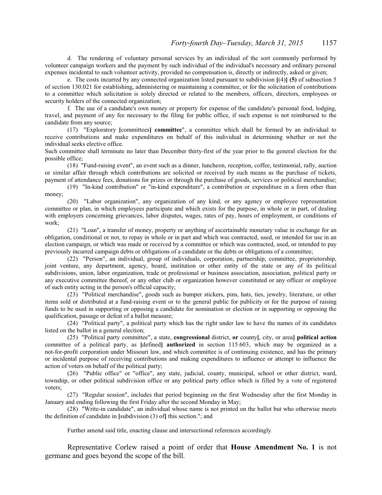d. The rendering of voluntary personal services by an individual of the sort commonly performed by volunteer campaign workers and the payment by such individual of the individual's necessary and ordinary personal expenses incidental to such volunteer activity, provided no compensation is, directly or indirectly, asked or given;

e. The costs incurred by any connected organization listed pursuant to subdivision **[**(4)**] (5)** of subsection 5 of section 130.021 for establishing, administering or maintaining a committee, or for the solicitation of contributions to a committee which solicitation is solely directed or related to the members, officers, directors, employees or security holders of the connected organization;

f. The use of a candidate's own money or property for expense of the candidate's personal food, lodging, travel, and payment of any fee necessary to the filing for public office, if such expense is not reimbursed to the candidate from any source;

(17) "Exploratory **[**committees**] committee**", a committee which shall be formed by an individual to receive contributions and make expenditures on behalf of this individual in determining whether or not the individual seeks elective office.

Such committee shall terminate no later than December thirty-first of the year prior to the general election for the possible office;

(18) "Fund-raising event", an event such as a dinner, luncheon, reception, coffee, testimonial, rally, auction or similar affair through which contributions are solicited or received by such means as the purchase of tickets, payment of attendance fees, donations for prizes or through the purchase of goods, services or political merchandise;

(19) "In-kind contribution" or "in-kind expenditure", a contribution or expenditure in a form other than money;

(20) "Labor organization", any organization of any kind, or any agency or employee representation committee or plan, in which employees participate and which exists for the purpose, in whole or in part, of dealing with employers concerning grievances, labor disputes, wages, rates of pay, hours of employment, or conditions of work;

(21) "Loan", a transfer of money, property or anything of ascertainable monetary value in exchange for an obligation, conditional or not, to repay in whole or in part and which was contracted, used, or intended for use in an election campaign, or which was made or received by a committee or which was contracted, used, or intended to pay previously incurred campaign debts or obligations of a candidate or the debts or obligations of a committee;

(22) "Person", an individual, group of individuals, corporation, partnership, committee, proprietorship, joint venture, any department, agency, board, institution or other entity of the state or any of its political subdivisions, union, labor organization, trade or professional or business association, association, political party or any executive committee thereof, or any other club or organization however constituted or any officer or employee of such entity acting in the person's official capacity;

(23) "Political merchandise", goods such as bumper stickers, pins, hats, ties, jewelry, literature, or other items sold or distributed at a fund-raising event or to the general public for publicity or for the purpose of raising funds to be used in supporting or opposing a candidate for nomination or election or in supporting or opposing the qualification, passage or defeat of a ballot measure;

(24) "Political party", a political party which has the right under law to have the names of its candidates listed on the ballot in a general election;

(25) "Political party committee", a state, **congressional** district, **or** county**[**, city, or area**] political action** committee of a political party, as **[**defined**] authorized** in section 115.603, which may be organized as a not-for-profit corporation under Missouri law, and which committee is of continuing existence, and has the primary or incidental purpose of receiving contributions and making expenditures to influence or attempt to influence the action of voters on behalf of the political party;

(26) "Public office" or "office", any state, judicial, county, municipal, school or other district, ward, township, or other political subdivision office or any political party office which is filled by a vote of registered voters;

(27) "Regular session", includes that period beginning on the first Wednesday after the first Monday in January and ending following the first Friday after the second Monday in May;

(28) "Write-in candidate", an individual whose name is not printed on the ballot but who otherwise meets the definition of candidate in **[**subdivision (3) of**]** this section."; and

Further amend said title, enacting clause and intersectional references accordingly.

Representative Corlew raised a point of order that **House Amendment No. 1** is not germane and goes beyond the scope of the bill.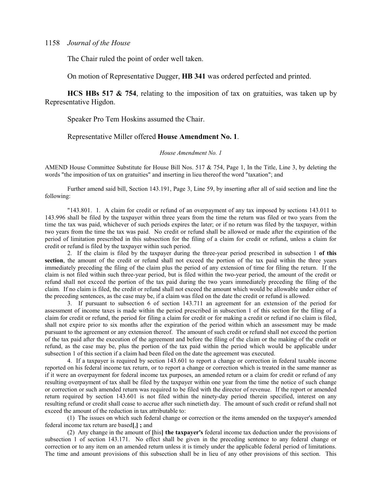The Chair ruled the point of order well taken.

On motion of Representative Dugger, **HB 341** was ordered perfected and printed.

**HCS HBs 517 & 754**, relating to the imposition of tax on gratuities, was taken up by Representative Higdon.

Speaker Pro Tem Hoskins assumed the Chair.

#### Representative Miller offered **House Amendment No. 1**.

#### *House Amendment No. 1*

AMEND House Committee Substitute for House Bill Nos. 517 & 754, Page 1, In the Title, Line 3, by deleting the words "the imposition of tax on gratuities" and inserting in lieu thereof the word "taxation"; and

Further amend said bill, Section 143.191, Page 3, Line 59, by inserting after all of said section and line the following:

"143.801. 1. A claim for credit or refund of an overpayment of any tax imposed by sections 143.011 to 143.996 shall be filed by the taxpayer within three years from the time the return was filed or two years from the time the tax was paid, whichever of such periods expires the later; or if no return was filed by the taxpayer, within two years from the time the tax was paid. No credit or refund shall be allowed or made after the expiration of the period of limitation prescribed in this subsection for the filing of a claim for credit or refund, unless a claim for credit or refund is filed by the taxpayer within such period.

2. If the claim is filed by the taxpayer during the three-year period prescribed in subsection 1 **of this section**, the amount of the credit or refund shall not exceed the portion of the tax paid within the three years immediately preceding the filing of the claim plus the period of any extension of time for filing the return. If the claim is not filed within such three-year period, but is filed within the two-year period, the amount of the credit or refund shall not exceed the portion of the tax paid during the two years immediately preceding the filing of the claim. If no claim is filed, the credit or refund shall not exceed the amount which would be allowable under either of the preceding sentences, as the case may be, if a claim was filed on the date the credit or refund is allowed.

3. If pursuant to subsection 6 of section 143.711 an agreement for an extension of the period for assessment of income taxes is made within the period prescribed in subsection 1 of this section for the filing of a claim for credit or refund, the period for filing a claim for credit or for making a credit or refund if no claim is filed, shall not expire prior to six months after the expiration of the period within which an assessment may be made pursuant to the agreement or any extension thereof. The amount of such credit or refund shall not exceed the portion of the tax paid after the execution of the agreement and before the filing of the claim or the making of the credit or refund, as the case may be, plus the portion of the tax paid within the period which would be applicable under subsection 1 of this section if a claim had been filed on the date the agreement was executed.

4. If a taxpayer is required by section 143.601 to report a change or correction in federal taxable income reported on his federal income tax return, or to report a change or correction which is treated in the same manner as if it were an overpayment for federal income tax purposes, an amended return or a claim for credit or refund of any resulting overpayment of tax shall be filed by the taxpayer within one year from the time the notice of such change or correction or such amended return was required to be filed with the director of revenue. If the report or amended return required by section 143.601 is not filed within the ninety-day period therein specified, interest on any resulting refund or credit shall cease to accrue after such ninetieth day. The amount of such credit or refund shall not exceed the amount of the reduction in tax attributable to:

(1) The issues on which such federal change or correction or the items amended on the taxpayer's amended federal income tax return are based**[**,**] ;** and

(2) Any change in the amount of **[**his**] the taxpayer's** federal income tax deduction under the provisions of subsection 1 of section 143.171. No effect shall be given in the preceding sentence to any federal change or correction or to any item on an amended return unless it is timely under the applicable federal period of limitations. The time and amount provisions of this subsection shall be in lieu of any other provisions of this section. This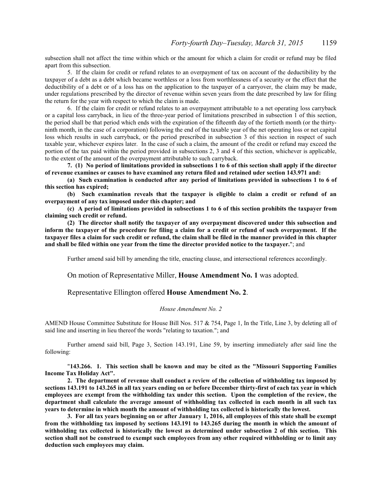subsection shall not affect the time within which or the amount for which a claim for credit or refund may be filed apart from this subsection.

5. If the claim for credit or refund relates to an overpayment of tax on account of the deductibility by the taxpayer of a debt as a debt which became worthless or a loss from worthlessness of a security or the effect that the deductibility of a debt or of a loss has on the application to the taxpayer of a carryover, the claim may be made, under regulations prescribed by the director of revenue within seven years from the date prescribed by law for filing the return for the year with respect to which the claim is made.

6. If the claim for credit or refund relates to an overpayment attributable to a net operating loss carryback or a capital loss carryback, in lieu of the three-year period of limitations prescribed in subsection 1 of this section, the period shall be that period which ends with the expiration of the fifteenth day of the fortieth month (or the thirtyninth month, in the case of a corporation) following the end of the taxable year of the net operating loss or net capital loss which results in such carryback, or the period prescribed in subsection 3 of this section in respect of such taxable year, whichever expires later. In the case of such a claim, the amount of the credit or refund may exceed the portion of the tax paid within the period provided in subsections 2, 3 and 4 of this section, whichever is applicable, to the extent of the amount of the overpayment attributable to such carryback.

**7. (1) No period of limitations provided in subsections 1 to 6 of this section shall apply if the director of revenue examines or causes to have examined any return filed and retained uder section 143.971 and:**

**(a) Such examination is conducted after any period of limitations provided in subsections 1 to 6 of this section has expired;**

**(b) Such examination reveals that the taxpayer is eligible to claim a credit or refund of an overpayment of any tax imposed under this chapter; and**

**(c) A period of limitations provided in subsections 1 to 6 of this section prohibits the taxpayer from claiming such credit or refund.**

**(2) The director shall notify the taxpayer of any overpayment discovered under this subsection and inform the taxpayer of the procedure for filing a claim for a credit or refund of such overpayment. If the taxpayer files a claim for such credit or refund, the claim shall be filed in the manner provided in this chapter and shall be filed within one year from the time the director provided notice to the taxpayer.**"; and

Further amend said bill by amending the title, enacting clause, and intersectional references accordingly.

On motion of Representative Miller, **House Amendment No. 1** was adopted.

Representative Ellington offered **House Amendment No. 2**.

#### *House Amendment No. 2*

AMEND House Committee Substitute for House Bill Nos. 517 & 754, Page 1, In the Title, Line 3, by deleting all of said line and inserting in lieu thereof the words "relating to taxation."; and

Further amend said bill, Page 3, Section 143.191, Line 59, by inserting immediately after said line the following:

"**143.266. 1. This section shall be known and may be cited as the "Missouri Supporting Families Income Tax Holiday Act".**

**2. The department of revenue shall conduct a review of the collection of withholding tax imposed by sections 143.191 to 143.265 in all tax years ending on or before December thirty-first of each tax year in which employees are exempt from the withholding tax under this section. Upon the completion of the review, the department shall calculate the average amount of withholding tax collected in each month in all such tax years to determine in which month the amount of withholding tax collected is historically the lowest.**

**3. For all tax years beginning on or after January 1, 2016, all employees of this state shall be exempt from the withholding tax imposed by sections 143.191 to 143.265 during the month in which the amount of withholding tax collected is historically the lowest as determined under subsection 2 of this section. This section shall not be construed to exempt such employees from any other required withholding or to limit any deduction such employees may claim.**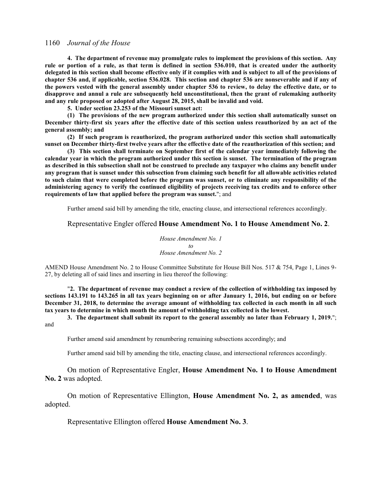**4. The department of revenue may promulgate rules to implement the provisions of this section. Any rule or portion of a rule, as that term is defined in section 536.010, that is created under the authority delegated in this section shall become effective only if it complies with and is subject to all of the provisions of chapter 536 and, if applicable, section 536.028. This section and chapter 536 are nonseverable and if any of the powers vested with the general assembly under chapter 536 to review, to delay the effective date, or to disapprove and annul a rule are subsequently held unconstitutional, then the grant of rulemaking authority and any rule proposed or adopted after August 28, 2015, shall be invalid and void.**

**5. Under section 23.253 of the Missouri sunset act:**

**(1) The provisions of the new program authorized under this section shall automatically sunset on December thirty-first six years after the effective date of this section unless reauthorized by an act of the general assembly; and**

**(2) If such program is reauthorized, the program authorized under this section shall automatically sunset on December thirty-first twelve years after the effective date of the reauthorization of this section; and**

**(3) This section shall terminate on September first of the calendar year immediately following the calendar year in which the program authorized under this section is sunset. The termination of the program as described in this subsection shall not be construed to preclude any taxpayer who claims any benefit under any program that is sunset under this subsection from claiming such benefit for all allowable activities related to such claim that were completed before the program was sunset, or to eliminate any responsibility of the administering agency to verify the continued eligibility of projects receiving tax credits and to enforce other requirements of law that applied before the program was sunset.**"; and

Further amend said bill by amending the title, enacting clause, and intersectional references accordingly.

#### Representative Engler offered **House Amendment No. 1 to House Amendment No. 2**.

*House Amendment No. 1 to House Amendment No. 2*

AMEND House Amendment No. 2 to House Committee Substitute for House Bill Nos. 517 & 754, Page 1, Lines 9- 27, by deleting all of said lines and inserting in lieu thereof the following:

"**2. The department of revenue may conduct a review of the collection of withholding tax imposed by sections 143.191 to 143.265 in all tax years beginning on or after January 1, 2016, but ending on or before December 31, 2018, to determine the average amount of withholding tax collected in each month in all such tax years to determine in which month the amount of withholding tax collected is the lowest.**

**3. The department shall submit its report to the general assembly no later than February 1, 2019.**"; and

Further amend said amendment by renumbering remaining subsections accordingly; and

Further amend said bill by amending the title, enacting clause, and intersectional references accordingly.

On motion of Representative Engler, **House Amendment No. 1 to House Amendment No. 2** was adopted.

On motion of Representative Ellington, **House Amendment No. 2, as amended**, was adopted.

Representative Ellington offered **House Amendment No. 3**.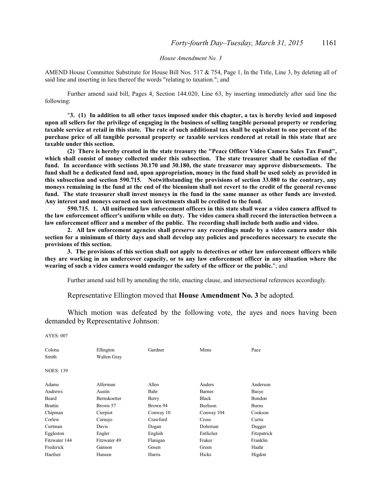#### *House Amendment No. 3*

AMEND House Committee Substitute for House Bill Nos. 517 & 754, Page 1, In the Title, Line 3, by deleting all of said line and inserting in lieu thereof the words "relating to taxation."; and

Further amend said bill, Pages 4, Section 144.020, Line 63, by inserting immediately after said line the following:

"**3. (1) In addition to all other taxes imposed under this chapter, a tax is hereby levied and imposed upon all sellers for the privilege of engaging in the business of selling tangible personal property or rendering taxable service at retail in this state. The rate of such additional tax shall be equivalent to one percent of the purchase price of all tangible personal property or taxable services rendered at retail in this state that are taxable under this section.**

**(2) There is hereby created in the state treasury the "Peace Officer Video Camera Sales Tax Fund", which shall consist of money collected under this subsection. The state treasurer shall be custodian of the fund. In accordance with sections 30.170 and 30.180, the state treasurer may approve disbursements. The fund shall be a dedicated fund and, upon appropriation, money in the fund shall be used solely as provided in this subsection and section 590.715. Notwithstanding the provisions of section 33.080 to the contrary, any moneys remaining in the fund at the end of the biennium shall not revert to the credit of the general revenue fund. The state treasurer shall invest moneys in the fund in the same manner as other funds are invested. Any interest and moneys earned on such investments shall be credited to the fund.**

**590.715. 1. All uniformed law enforcement officers in this state shall wear a video camera affixed to the law enforcement officer's uniform while on duty. The video camera shall record the interaction between a law enforcement officer and a member of the public. The recording shall include both audio and video.**

**2. All law enforcement agencies shall preserve any recordings made by a video camera under this section for a minimum of thirty days and shall develop any policies and procedures necessary to execute the provisions of this section.**

**3. The provisions of this section shall not apply to detectives or other law enforcement officers while they are working in an undercover capacity, or to any law enforcement officer in any situation where the wearing of such a video camera would endanger the safety of the officer or the public.**"; and

Further amend said bill by amending the title, enacting clause, and intersectional references accordingly.

Representative Ellington moved that **House Amendment No. 3** be adopted.

Which motion was defeated by the following vote, the ayes and noes having been demanded by Representative Johnson:

| Colona<br>Smith  | Ellington<br><b>Walton Gray</b> | Gardner   | Mims            | Pace         |
|------------------|---------------------------------|-----------|-----------------|--------------|
| <b>NOES: 139</b> |                                 |           |                 |              |
| Adams            | Alferman                        | Allen     | Anders          | Anderson     |
| Andrews          | Austin                          | Bahr      | <b>Barnes</b>   | Basye        |
| Beard            | Bernskoetter                    | Berry     | <b>Black</b>    | Bondon       |
| <b>Brattin</b>   | Brown 57                        | Brown 94  | <b>Burlison</b> | <b>Burns</b> |
| Chipman          | Cierpiot                        | Conway 10 | Conway 104      | Cookson      |
| Corlew           | Cornejo                         | Crawford  | <b>Cross</b>    | Curtis       |
| Curtman          | Davis                           | Dogan     | Dohrman         | Dugger       |
| Eggleston        | Engler                          | English   | Entlicher       | Fitzpatrick  |
| Fitzwater 144    | Fitzwater 49                    | Flanigan  | Fraker          | Franklin     |
| Frederick        | Gannon                          | Gosen     | Green           | Haahr        |
| Haefner          | Hansen                          | Harris    | Hicks           | Higdon       |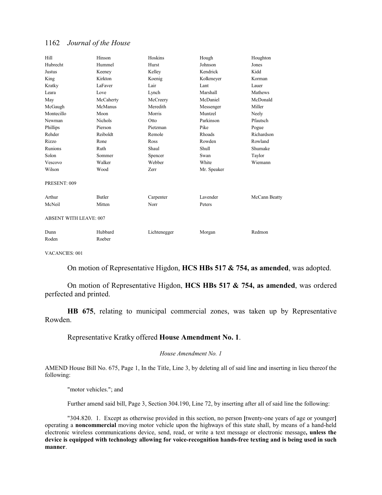| Hill                          | Hinson         | Hoskins      | Hough       | Houghton      |
|-------------------------------|----------------|--------------|-------------|---------------|
| Hubrecht                      | Hummel         | Hurst        | Johnson     | Jones         |
| Justus                        | Keeney         | Kelley       | Kendrick    | Kidd          |
| King                          | Kirkton        | Koenig       | Kolkmeyer   | Korman        |
| Kratky                        | LaFaver        | Lair         | Lant        | Lauer         |
| Leara                         | Love           | Lynch        | Marshall    | Mathews       |
| May                           | McCaherty      | McCreery     | McDaniel    | McDonald      |
| McGaugh                       | McManus        | Meredith     | Messenger   | Miller        |
| Montecillo                    | Moon           | Morris       | Muntzel     | Neely         |
| Newman                        | <b>Nichols</b> | Otto         | Parkinson   | Pfautsch      |
| Phillips                      | Pierson        | Pietzman     | Pike        | Pogue         |
| Rehder                        | Reiboldt       | Remole       | Rhoads      | Richardson    |
| Rizzo                         | Rone           | <b>Ross</b>  | Rowden      | Rowland       |
| Runions                       | Ruth           | Shaul        | Shull       | Shumake       |
| Solon                         | Sommer         | Spencer      | Swan        | Taylor        |
| Vescovo                       | Walker         | Webber       | White       | Wiemann       |
| Wilson                        | Wood           | Zerr         | Mr. Speaker |               |
| PRESENT: 009                  |                |              |             |               |
| Arthur                        | <b>Butler</b>  | Carpenter    | Lavender    | McCann Beatty |
| McNeil                        | Mitten         | Norr         | Peters      |               |
| <b>ABSENT WITH LEAVE: 007</b> |                |              |             |               |
| Dunn                          | Hubbard        | Lichtenegger | Morgan      | Redmon        |
| Roden                         | Roeber         |              |             |               |

VACANCIES: 001

On motion of Representative Higdon, **HCS HBs 517 & 754, as amended**, was adopted.

On motion of Representative Higdon, **HCS HBs 517 & 754, as amended**, was ordered perfected and printed.

**HB 675**, relating to municipal commercial zones, was taken up by Representative Rowden.

Representative Kratky offered **House Amendment No. 1**.

#### *House Amendment No. 1*

AMEND House Bill No. 675, Page 1, In the Title, Line 3, by deleting all of said line and inserting in lieu thereof the following:

"motor vehicles."; and

Further amend said bill, Page 3, Section 304.190, Line 72, by inserting after all of said line the following:

"304.820. 1. Except as otherwise provided in this section, no person **[**twenty-one years of age or younger**]** operating a **noncommercial** moving motor vehicle upon the highways of this state shall, by means of a hand-held electronic wireless communications device, send, read, or write a text message or electronic message**, unless the device is equipped with technology allowing for voice-recognition hands-free texting and is being used in such manner**.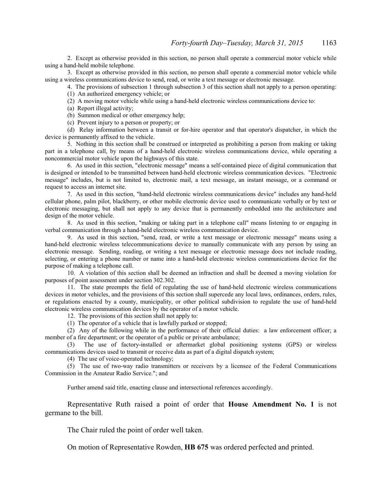2. Except as otherwise provided in this section, no person shall operate a commercial motor vehicle while using a hand-held mobile telephone.

3. Except as otherwise provided in this section, no person shall operate a commercial motor vehicle while using a wireless communications device to send, read, or write a text message or electronic message.

4. The provisions of subsection 1 through subsection 3 of this section shall not apply to a person operating: (1) An authorized emergency vehicle; or

(2) A moving motor vehicle while using a hand-held electronic wireless communications device to:

(a) Report illegal activity;

(b) Summon medical or other emergency help;

(c) Prevent injury to a person or property; or

(d) Relay information between a transit or for-hire operator and that operator's dispatcher, in which the device is permanently affixed to the vehicle.

5. Nothing in this section shall be construed or interpreted as prohibiting a person from making or taking part in a telephone call, by means of a hand-held electronic wireless communications device, while operating a noncommercial motor vehicle upon the highways of this state.

6. As used in this section, "electronic message" means a self-contained piece of digital communication that is designed or intended to be transmitted between hand-held electronic wireless communication devices. "Electronic message" includes, but is not limited to, electronic mail, a text message, an instant message, or a command or request to access an internet site.

7. As used in this section, "hand-held electronic wireless communications device" includes any hand-held cellular phone, palm pilot, blackberry, or other mobile electronic device used to communicate verbally or by text or electronic messaging, but shall not apply to any device that is permanently embedded into the architecture and design of the motor vehicle.

8. As used in this section, "making or taking part in a telephone call" means listening to or engaging in verbal communication through a hand-held electronic wireless communication device.

9. As used in this section, "send, read, or write a text message or electronic message" means using a hand-held electronic wireless telecommunications device to manually communicate with any person by using an electronic message. Sending, reading, or writing a text message or electronic message does not include reading, selecting, or entering a phone number or name into a hand-held electronic wireless communications device for the purpose of making a telephone call.

10. A violation of this section shall be deemed an infraction and shall be deemed a moving violation for purposes of point assessment under section 302.302.

11. The state preempts the field of regulating the use of hand-held electronic wireless communications devices in motor vehicles, and the provisions of this section shall supercede any local laws, ordinances, orders, rules, or regulations enacted by a county, municipality, or other political subdivision to regulate the use of hand-held electronic wireless communication devices by the operator of a motor vehicle.

12. The provisions of this section shall not apply to:

(1) The operator of a vehicle that is lawfully parked or stopped;

(2) Any of the following while in the performance of their official duties: a law enforcement officer; a member of a fire department; or the operator of a public or private ambulance;

The use of factory-installed or aftermarket global positioning systems (GPS) or wireless communications devices used to transmit or receive data as part of a digital dispatch system;

(4) The use of voice-operated technology;

(5) The use of two-way radio transmitters or receivers by a licensee of the Federal Communications Commission in the Amateur Radio Service."; and

Further amend said title, enacting clause and intersectional references accordingly.

Representative Ruth raised a point of order that **House Amendment No. 1** is not germane to the bill.

The Chair ruled the point of order well taken.

On motion of Representative Rowden, **HB 675** was ordered perfected and printed.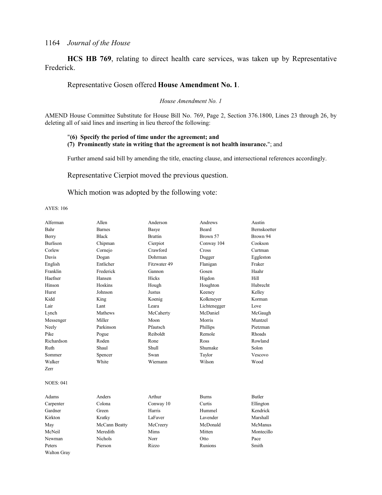**HCS HB 769**, relating to direct health care services, was taken up by Representative Frederick.

### Representative Gosen offered **House Amendment No. 1**.

*House Amendment No. 1*

AMEND House Committee Substitute for House Bill No. 769, Page 2, Section 376.1800, Lines 23 through 26, by deleting all of said lines and inserting in lieu thereof the following:

#### "**(6) Specify the period of time under the agreement; and (7) Prominently state in writing that the agreement is not health insurance.**"; and

Further amend said bill by amending the title, enacting clause, and intersectional references accordingly.

Representative Cierpiot moved the previous question.

### Which motion was adopted by the following vote:

| Alferman         | Allen          | Anderson       | Andrews      | Austin        |
|------------------|----------------|----------------|--------------|---------------|
| Bahr             | <b>Barnes</b>  | <b>Basye</b>   | Beard        | Bernskoetter  |
| Berry            | <b>Black</b>   | <b>Brattin</b> | Brown 57     | Brown 94      |
| <b>Burlison</b>  | Chipman        | Cierpiot       | Conway 104   | Cookson       |
| Corlew           | Cornejo        | Crawford       | Cross        | Curtman       |
| Davis            | Dogan          | Dohrman        | Dugger       | Eggleston     |
| English          | Entlicher      | Fitzwater 49   | Flanigan     | Fraker        |
| Franklin         | Frederick      | Gannon         | Gosen        | Haahr         |
| Haefner          | Hansen         | Hicks          | Higdon       | Hill          |
| Hinson           | Hoskins        | Hough          | Houghton     | Hubrecht      |
| Hurst            | Johnson        | Justus         | Keeney       | Kelley        |
| Kidd             | King           | Koenig         | Kolkmeyer    | Korman        |
| Lair             | Lant           | Leara          | Lichtenegger | Love          |
| Lynch            | Mathews        | McCaherty      | McDaniel     | McGaugh       |
| Messenger        | Miller         | Moon           | Morris       | Muntzel       |
| Neely            | Parkinson      | Pfautsch       | Phillips     | Pietzman      |
| Pike             | Pogue          | Reiboldt       | Remole       | Rhoads        |
| Richardson       | Roden          | Rone           | Ross         | Rowland       |
| Ruth             | Shaul          | Shull          | Shumake      | Solon         |
| Sommer           | Spencer        | Swan           | Taylor       | Vescovo       |
| Walker           | White          | Wiemann        | Wilson       | Wood          |
| Zerr             |                |                |              |               |
| <b>NOES: 041</b> |                |                |              |               |
| Adams            | Anders         | Arthur         | <b>Burns</b> | <b>Butler</b> |
| Carpenter        | Colona         | Conway 10      | Curtis       | Ellington     |
| Gardner          | Green          | Harris         | Hummel       | Kendrick      |
| Kirkton          | Kratky         | LaFaver        | Lavender     | Marshall      |
| May              | McCann Beatty  | McCreery       | McDonald     | McManus       |
| McNeil           | Meredith       | Mims           | Mitten       | Montecillo    |
| Newman           | <b>Nichols</b> | Norr           | Otto         | Pace          |
| Peters           | Pierson        | Rizzo          | Runions      | Smith         |
| Walton Gray      |                |                |              |               |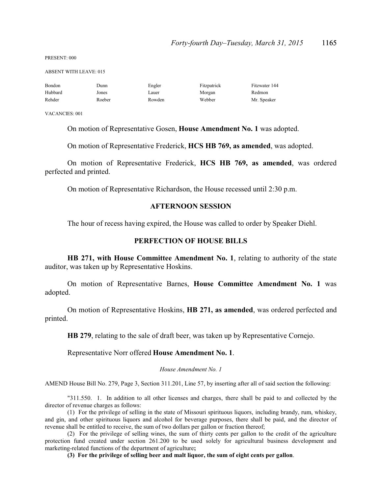PRESENT: 000

ABSENT WITH LEAVE: 015

| Bondon  | Dunn   | Engler | Fitzpatrick | Fitzwater 144 |
|---------|--------|--------|-------------|---------------|
| Hubbard | Jones  | Lauer  | Morgan      | Redmon        |
| Rehder  | Roeber | Rowden | Webber      | Mr. Speaker   |

VACANCIES: 001

On motion of Representative Gosen, **House Amendment No. 1** was adopted.

On motion of Representative Frederick, **HCS HB 769, as amended**, was adopted.

On motion of Representative Frederick, **HCS HB 769, as amended**, was ordered perfected and printed.

On motion of Representative Richardson, the House recessed until 2:30 p.m.

## **AFTERNOON SESSION**

The hour of recess having expired, the House was called to order by Speaker Diehl.

## **PERFECTION OF HOUSE BILLS**

**HB 271, with House Committee Amendment No. 1**, relating to authority of the state auditor, was taken up by Representative Hoskins.

On motion of Representative Barnes, **House Committee Amendment No. 1** was adopted.

On motion of Representative Hoskins, **HB 271, as amended**, was ordered perfected and printed.

**HB 279**, relating to the sale of draft beer, was taken up by Representative Cornejo.

Representative Norr offered **House Amendment No. 1**.

*House Amendment No. 1*

AMEND House Bill No. 279, Page 3, Section 311.201, Line 57, by inserting after all of said section the following:

"311.550. 1. In addition to all other licenses and charges, there shall be paid to and collected by the director of revenue charges as follows:

(1) For the privilege of selling in the state of Missouri spirituous liquors, including brandy, rum, whiskey, and gin, and other spirituous liquors and alcohol for beverage purposes, there shall be paid, and the director of revenue shall be entitled to receive, the sum of two dollars per gallon or fraction thereof;

(2) For the privilege of selling wines, the sum of thirty cents per gallon to the credit of the agriculture protection fund created under section 261.200 to be used solely for agricultural business development and marketing-related functions of the department of agriculture**;**

**(3) For the privilege of selling beer and malt liquor, the sum of eight cents per gallon**.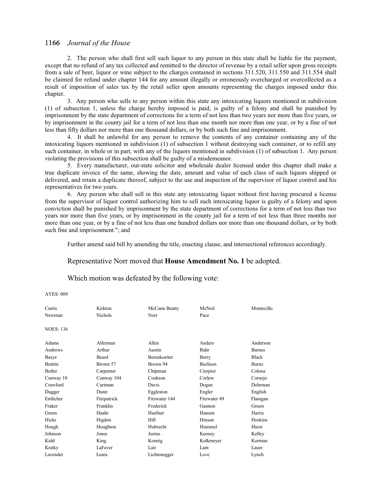2. The person who shall first sell such liquor to any person in this state shall be liable for the payment, except that no refund of any tax collected and remitted to the director of revenue by a retail seller upon gross receipts from a sale of beer, liquor or wine subject to the charges contained in sections 311.520, 311.550 and 311.554 shall be claimed for refund under chapter 144 for any amount illegally or erroneously overcharged or overcollected as a result of imposition of sales tax by the retail seller upon amounts representing the charges imposed under this chapter.

3. Any person who sells to any person within this state any intoxicating liquors mentioned in subdivision (1) of subsection 1, unless the charge hereby imposed is paid, is guilty of a felony and shall be punished by imprisonment by the state department of corrections for a term of not less than two years nor more than five years, or by imprisonment in the county jail for a term of not less than one month nor more than one year, or by a fine of not less than fifty dollars nor more than one thousand dollars, or by both such fine and imprisonment.

4. It shall be unlawful for any person to remove the contents of any container containing any of the intoxicating liquors mentioned in subdivision (1) of subsection 1 without destroying such container, or to refill any such container, in whole or in part, with any of the liquors mentioned in subdivision (1) of subsection 1. Any person violating the provisions of this subsection shall be guilty of a misdemeanor.

5. Every manufacturer, out-state solicitor and wholesale dealer licensed under this chapter shall make a true duplicate invoice of the same, showing the date, amount and value of each class of such liquors shipped or delivered, and retain a duplicate thereof, subject to the use and inspection of the supervisor of liquor control and his representatives for two years.

6. Any person who shall sell in this state any intoxicating liquor without first having procured a license from the supervisor of liquor control authorizing him to sell such intoxicating liquor is guilty of a felony and upon conviction shall be punished by imprisonment by the state department of corrections for a term of not less than two years nor more than five years, or by imprisonment in the county jail for a term of not less than three months nor more than one year, or by a fine of not less than one hundred dollars nor more than one thousand dollars, or by both such fine and imprisonment."; and

Further amend said bill by amending the title, enacting clause, and intersectional references accordingly.

#### Representative Norr moved that **House Amendment No. 1** be adopted.

#### Which motion was defeated by the following vote:

| Curtis<br>Newman | Kirkton<br><b>Nichols</b> | McCann Beatty<br>Norr | McNeil<br>Pace  | Montecillo    |
|------------------|---------------------------|-----------------------|-----------------|---------------|
| <b>NOES: 136</b> |                           |                       |                 |               |
| Adams            | Alferman                  | Allen                 | Anders          | Anderson      |
| Andrews          | Arthur                    | Austin                | Bahr            | <b>Barnes</b> |
| Basye            | Beard                     | <b>Bernskoetter</b>   | Berry           | <b>Black</b>  |
| <b>Brattin</b>   | Brown 57                  | Brown 94              | <b>Burlison</b> | <b>Burns</b>  |
| <b>Butler</b>    | Carpenter                 | Chipman               | Cierpiot        | Colona        |
| Conway 10        | Conway 104                | Cookson               | Corlew          | Cornejo       |
| Crawford         | Curtman                   | Davis                 | Dogan           | Dohrman       |
| Dugger           | Dunn                      | Eggleston             | Engler          | English       |
| Entlicher        | Fitzpatrick               | Fitzwater 144         | Fitzwater 49    | Flanigan      |
| Fraker           | Franklin                  | Frederick             | Gannon          | Gosen         |
| Green            | Haahr                     | Haefner               | Hansen          | Harris        |
| <b>Hicks</b>     | Higdon                    | Hill                  | Hinson          | Hoskins       |
| Hough            | Houghton                  | Hubrecht              | Hummel          | Hurst         |
| Johnson          | Jones                     | Justus                | Keeney          | Kelley        |
| Kidd             | King                      | Koenig                | Kolkmeyer       | Korman        |
| Kratky           | LaFaver                   | Lair                  | Lant            | Lauer         |
| Lavender         | Leara                     | Lichtenegger          | Love            | Lynch         |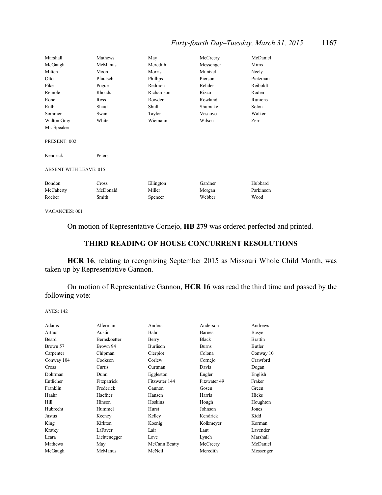## *Forty-fourth Day–Tuesday, March 31, 2015* 1167

| Marshall                      | Mathews  | May        | McCreery  | McDaniel  |  |
|-------------------------------|----------|------------|-----------|-----------|--|
| McGaugh                       | McManus  | Meredith   | Messenger | Mims      |  |
| Mitten                        | Moon     | Morris     | Muntzel   | Neely     |  |
| Otto                          | Pfautsch | Phillips   | Pierson   | Pietzman  |  |
| Pike                          | Pogue    | Redmon     | Rehder    | Reiboldt  |  |
| Remole                        | Rhoads   | Richardson | Rizzo     | Roden     |  |
| Rone                          | Ross     | Rowden     | Rowland   | Runions   |  |
| Ruth                          | Shaul    | Shull      | Shumake   | Solon     |  |
| Sommer                        | Swan     | Taylor     | Vescovo   | Walker    |  |
| Walton Gray                   | White    | Wiemann    | Wilson    | Zerr      |  |
| Mr. Speaker                   |          |            |           |           |  |
|                               |          |            |           |           |  |
| PRESENT: 002                  |          |            |           |           |  |
|                               |          |            |           |           |  |
| Kendrick                      | Peters   |            |           |           |  |
|                               |          |            |           |           |  |
| <b>ABSENT WITH LEAVE: 015</b> |          |            |           |           |  |
|                               |          |            |           |           |  |
| Bondon                        | Cross    | Ellington  | Gardner   | Hubbard   |  |
| McCaherty                     | McDonald | Miller     | Morgan    | Parkinson |  |
| Roeber                        | Smith    | Spencer    | Webber    | Wood      |  |
|                               |          |            |           |           |  |

VACANCIES: 001

On motion of Representative Cornejo, **HB 279** was ordered perfected and printed.

### **THIRD READING OF HOUSE CONCURRENT RESOLUTIONS**

**HCR 16**, relating to recognizing September 2015 as Missouri Whole Child Month, was taken up by Representative Gannon.

On motion of Representative Gannon, **HCR 16** was read the third time and passed by the following vote:

| Adams      | Alferman     | Anders        | Anderson      | Andrews        |
|------------|--------------|---------------|---------------|----------------|
| Arthur     | Austin       | Bahr          | <b>Barnes</b> | Basye          |
| Beard      | Bernskoetter | Berry         | <b>Black</b>  | <b>Brattin</b> |
| Brown 57   | Brown 94     | Burlison      | <b>Burns</b>  | <b>Butler</b>  |
| Carpenter  | Chipman      | Cierpiot      | Colona        | Conway 10      |
| Conway 104 | Cookson      | Corlew        | Cornejo       | Crawford       |
| Cross      | Curtis       | Curtman       | Davis         | Dogan          |
| Dohrman    | Dunn         | Eggleston     | Engler        | English        |
| Entlicher  | Fitzpatrick  | Fitzwater 144 | Fitzwater 49  | Fraker         |
| Franklin   | Frederick    | Gannon        | Gosen         | Green          |
| Haahr      | Haefner      | Hansen        | Harris        | Hicks          |
| Hill       | Hinson       | Hoskins       | Hough         | Houghton       |
| Hubrecht   | Hummel       | Hurst         | Johnson       | Jones          |
| Justus     | Keeney       | Kelley        | Kendrick      | Kidd           |
| King       | Kirkton      | Koenig        | Kolkmeyer     | Korman         |
| Kratky     | LaFaver      | Lair          | Lant          | Lavender       |
| Leara      | Lichtenegger | Love          | Lynch         | Marshall       |
| Mathews    | May          | McCann Beatty | McCreery      | McDaniel       |
| McGaugh    | McManus      | McNeil        | Meredith      | Messenger      |
|            |              |               |               |                |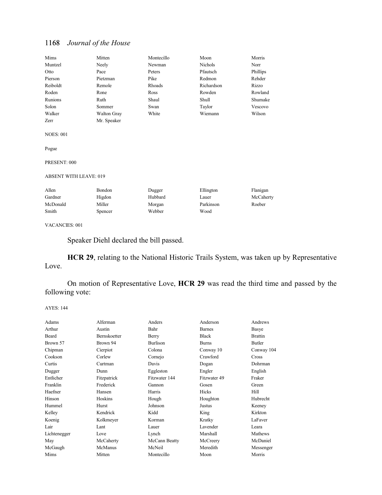| Mims                          | Mitten      | Montecillo | Moon       | Morris    |
|-------------------------------|-------------|------------|------------|-----------|
| Muntzel                       | Neely       | Newman     | Nichols    | Norr      |
| Otto                          | Pace        | Peters     | Pfautsch   | Phillips  |
| Pierson                       | Pietzman    | Pike       | Redmon     | Rehder    |
| Reiboldt                      | Remole      | Rhoads     | Richardson | Rizzo     |
| Roden                         | Rone        | Ross       | Rowden     | Rowland   |
| Runions                       | Ruth        | Shaul      | Shull      | Shumake   |
| Solon                         | Sommer      | Swan       | Taylor     | Vescovo   |
| Walker                        | Walton Gray | White      | Wiemann    | Wilson    |
| Zerr                          | Mr. Speaker |            |            |           |
| <b>NOES: 001</b><br>Pogue     |             |            |            |           |
| PRESENT: 000                  |             |            |            |           |
| <b>ABSENT WITH LEAVE: 019</b> |             |            |            |           |
| Allen                         | Bondon      | Dugger     | Ellington  | Flanigan  |
| Gardner                       | Higdon      | Hubbard    | Lauer      | McCaherty |
| McDonald                      | Miller      | Morgan     | Parkinson  | Roeber    |
| Smith                         | Spencer     | Webber     | Wood       |           |

#### VACANCIES: 001

Speaker Diehl declared the bill passed.

**HCR 29**, relating to the National Historic Trails System, was taken up by Representative Love.

On motion of Representative Love, **HCR 29** was read the third time and passed by the following vote:

| Adams        | Alferman     | Anders        | Anderson      | Andrews        |
|--------------|--------------|---------------|---------------|----------------|
| Arthur       | Austin       | Bahr          | <b>Barnes</b> | Basye          |
| Beard        | Bernskoetter | Berry         | <b>Black</b>  | <b>Brattin</b> |
| Brown 57     | Brown 94     | Burlison      | <b>Burns</b>  | <b>Butler</b>  |
| Chipman      | Cierpiot     | Colona        | Conway 10     | Conway 104     |
| Cookson      | Corlew       | Cornejo       | Crawford      | Cross          |
| Curtis       | Curtman      | Davis         | Dogan         | Dohrman        |
| Dugger       | Dunn         | Eggleston     | Engler        | English        |
| Entlicher    | Fitzpatrick  | Fitzwater 144 | Fitzwater 49  | Fraker         |
| Franklin     | Frederick    | Gannon        | Gosen         | Green          |
| Haefner      | Hansen       | Harris        | Hicks         | Hill           |
| Hinson       | Hoskins      | Hough         | Houghton      | Hubrecht       |
| Hummel       | Hurst        | Johnson       | Justus        | Keeney         |
| Kelley       | Kendrick     | Kidd          | King          | Kirkton        |
| Koenig       | Kolkmeyer    | Korman        | Kratky        | LaFaver        |
| Lair         | Lant         | Lauer         | Lavender      | Leara          |
| Lichtenegger | Love         | Lynch         | Marshall      | Mathews        |
| May          | McCaherty    | McCann Beatty | McCreery      | McDaniel       |
| McGaugh      | McManus      | McNeil        | Meredith      | Messenger      |
| Mims         | Mitten       | Montecillo    | Moon          | Morris         |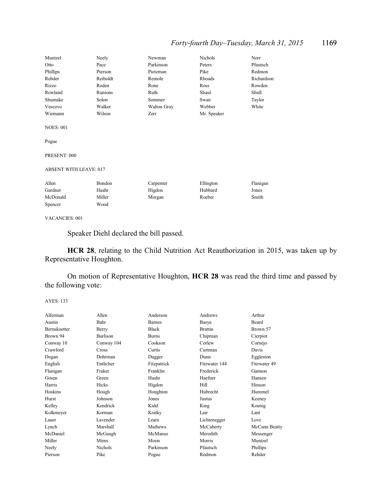## *Forty-fourth Day–Tuesday, March 31, 2015* 1169

| Muntzel                       | Neely    | Newman      | Nichols     | Norr       |
|-------------------------------|----------|-------------|-------------|------------|
| Otto                          | Pace     | Parkinson   | Peters      | Pfautsch   |
| Phillips                      | Pierson  | Pietzman    | Pike        | Redmon     |
| Rehder                        | Reiboldt | Remole      | Rhoads      | Richardson |
| Rizzo                         | Roden    | Rone        | Ross        | Rowden     |
| Rowland                       | Runions  | Ruth        | Shaul       | Shull      |
| Shumake                       | Solon    | Sommer      | Swan        | Taylor     |
| Vescovo                       | Walker   | Walton Gray | Webber      | White      |
| Wiemann                       | Wilson   | Zerr        | Mr. Speaker |            |
| <b>NOES: 001</b>              |          |             |             |            |
| Pogue                         |          |             |             |            |
| PRESENT: 000                  |          |             |             |            |
| <b>ABSENT WITH LEAVE: 017</b> |          |             |             |            |
| Allen                         | Bondon   | Carpenter   | Ellington   | Flanigan   |
| Gardner                       | Haahr    | Higdon      | Hubbard     | Jones      |
| McDonald                      | Miller   | Morgan      | Roeber      | Smith      |
| Spencer                       | Wood     |             |             |            |

VACANCIES: 001

Speaker Diehl declared the bill passed.

**HCR 28**, relating to the Child Nutrition Act Reauthorization in 2015, was taken up by Representative Houghton.

On motion of Representative Houghton, **HCR 28** was read the third time and passed by the following vote:

| Alferman     | Allen          | Anderson      | Andrews        | Arthur        |
|--------------|----------------|---------------|----------------|---------------|
| Austin       | Bahr           | <b>Barnes</b> | Basye          | Beard         |
| Bernskoetter | Berry          | <b>Black</b>  | <b>Brattin</b> | Brown 57      |
| Brown 94     | Burlison       | <b>Burns</b>  | Chipman        | Cierpiot      |
| Conway 10    | Conway 104     | Cookson       | Corlew         | Cornejo       |
| Crawford     | Cross          | Curtis        | Curtman        | Davis         |
| Dogan        | Dohrman        | Dugger        | Dunn           | Eggleston     |
| English      | Entlicher      | Fitzpatrick   | Fitzwater 144  | Fitzwater 49  |
| Flanigan     | Fraker         | Franklin      | Frederick      | Gannon        |
| Gosen        | Green          | Haahr         | Haefner        | Hansen        |
| Harris       | Hicks          | Higdon        | Hill           | Hinson        |
| Hoskins      | Hough          | Houghton      | Hubrecht       | Hummel        |
| Hurst        | Johnson        | Jones         | Justus         | Keeney        |
| Kelley       | Kendrick       | Kidd          | King           | Koenig        |
| Kolkmeyer    | Korman         | Kratky        | Lair           | Lant          |
| Lauer        | Lavender       | Leara         | Lichtenegger   | Love          |
| Lynch        | Marshall       | Mathews       | McCaherty      | McCann Beatty |
| McDaniel     | McGaugh        | McManus       | Meredith       | Messenger     |
| Miller       | Mims           | Moon          | Morris         | Muntzel       |
| Neely        | <b>Nichols</b> | Parkinson     | Pfautsch       | Phillips      |
| Pierson      | Pike           | Pogue         | Redmon         | Rehder        |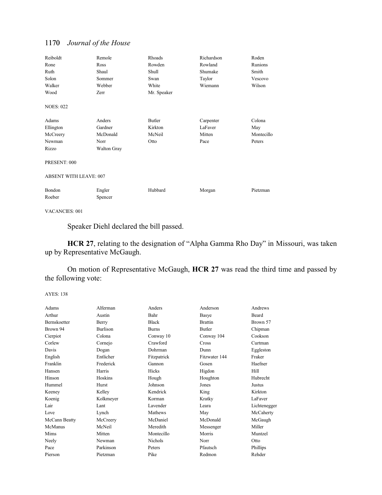| Reiboldt                      | Remole      | Rhoads      | Richardson | Roden      |
|-------------------------------|-------------|-------------|------------|------------|
| Rone                          | Ross        | Rowden      | Rowland    | Runions    |
| Ruth                          | Shaul       | Shull       | Shumake    | Smith      |
| Solon                         | Sommer      | Swan        | Taylor     | Vescovo    |
| Walker                        | Webber      | White       | Wiemann    | Wilson     |
| Wood                          | Zerr        | Mr. Speaker |            |            |
| <b>NOES: 022</b>              |             |             |            |            |
| Adams                         | Anders      | Butler      | Carpenter  | Colona     |
| Ellington                     | Gardner     | Kirkton     | LaFaver    | May        |
| McCreery                      | McDonald    | McNeil      | Mitten     | Montecillo |
| Newman                        | Norr        | Otto        | Pace       | Peters     |
| Rizzo                         | Walton Gray |             |            |            |
| PRESENT: 000                  |             |             |            |            |
| <b>ABSENT WITH LEAVE: 007</b> |             |             |            |            |
| Bondon                        | Engler      | Hubbard     | Morgan     | Pietzman   |
| Roeber                        | Spencer     |             |            |            |

VACANCIES: 001

Speaker Diehl declared the bill passed.

**HCR 27**, relating to the designation of "Alpha Gamma Rho Day" in Missouri, was taken up by Representative McGaugh.

On motion of Representative McGaugh, **HCR 27** was read the third time and passed by the following vote:

| Adams               | Alferman        | Anders       | Anderson       | Andrews      |
|---------------------|-----------------|--------------|----------------|--------------|
| Arthur              | Austin          | Bahr         | Basye          | Beard        |
| <b>Bernskoetter</b> | Berry           | <b>Black</b> | <b>Brattin</b> | Brown 57     |
| Brown 94            | <b>Burlison</b> | <b>Burns</b> | Butler         | Chipman      |
| Cierpiot            | Colona          | Conway 10    | Conway 104     | Cookson      |
| Corlew              | Cornejo         | Crawford     | Cross          | Curtman      |
| Davis               | Dogan           | Dohrman      | Dunn           | Eggleston    |
| English             | Entlicher       | Fitzpatrick  | Fitzwater 144  | Fraker       |
| Franklin            | Frederick       | Gannon       | Gosen          | Haefner      |
| Hansen              | Harris          | Hicks        | Higdon         | Hill         |
| Hinson              | Hoskins         | Hough        | Houghton       | Hubrecht     |
| Hummel              | Hurst           | Johnson      | Jones          | Justus       |
| Keeney              | Kelley          | Kendrick     | King           | Kirkton      |
| Koenig              | Kolkmeyer       | Korman       | Kratky         | LaFaver      |
| Lair                | Lant            | Lavender     | Leara          | Lichtenegger |
| Love                | Lynch           | Mathews      | May            | McCaherty    |
| McCann Beatty       | McCreery        | McDaniel     | McDonald       | McGaugh      |
| McManus             | McNeil          | Meredith     | Messenger      | Miller       |
| Mims                | Mitten          | Montecillo   | Morris         | Muntzel      |
| Neely               | Newman          | Nichols      | Norr           | Otto         |
| Pace                | Parkinson       | Peters       | Pfautsch       | Phillips     |
| Pierson             | Pietzman        | Pike         | Redmon         | Rehder       |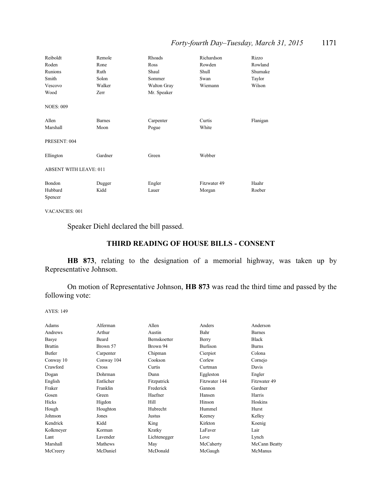## *Forty-fourth Day–Tuesday, March 31, 2015* 1171

| Reiboldt                      | Remole        | Rhoads             | Richardson   | Rizzo    |  |
|-------------------------------|---------------|--------------------|--------------|----------|--|
| Roden                         | Rone          | Ross               | Rowden       | Rowland  |  |
| Runions                       | Ruth          | Shaul              | Shull        | Shumake  |  |
| Smith                         | Solon         | Sommer             | Swan         | Taylor   |  |
| Vescovo                       | Walker        | <b>Walton Gray</b> | Wiemann      | Wilson   |  |
| Wood                          | Zerr          | Mr. Speaker        |              |          |  |
| <b>NOES: 009</b>              |               |                    |              |          |  |
| Allen                         | <b>Barnes</b> | Carpenter          | Curtis       | Flanigan |  |
| Marshall                      | Moon          | Pogue              | White        |          |  |
| PRESENT: 004                  |               |                    |              |          |  |
| Ellington                     | Gardner       | Green              | Webber       |          |  |
| <b>ABSENT WITH LEAVE: 011</b> |               |                    |              |          |  |
| Bondon                        | Dugger        | Engler             | Fitzwater 49 | Haahr    |  |
| Hubbard                       | Kidd          | Lauer              | Morgan       | Roeber   |  |
| Spencer                       |               |                    |              |          |  |

VACANCIES: 001

Speaker Diehl declared the bill passed.

### **THIRD READING OF HOUSE BILLS - CONSENT**

**HB 873**, relating to the designation of a memorial highway, was taken up by Representative Johnson.

On motion of Representative Johnson, **HB 873** was read the third time and passed by the following vote:

| Adams          | Alferman     | Allen        | Anders        | Anderson      |
|----------------|--------------|--------------|---------------|---------------|
| Andrews        | Arthur       | Austin       | Bahr          | <b>Barnes</b> |
| Basye          | Beard        | Bernskoetter | Berry         | <b>Black</b>  |
| <b>Brattin</b> | Brown 57     | Brown 94     | Burlison      | <b>Burns</b>  |
| <b>Butler</b>  | Carpenter    | Chipman      | Cierpiot      | Colona        |
| Conway 10      | Conway 104   | Cookson      | Corlew        | Cornejo       |
| Crawford       | <b>Cross</b> | Curtis       | Curtman       | Davis         |
| Dogan          | Dohrman      | Dunn         | Eggleston     | Engler        |
| English        | Entlicher    | Fitzpatrick  | Fitzwater 144 | Fitzwater 49  |
| Fraker         | Franklin     | Frederick    | Gannon        | Gardner       |
| Gosen          | Green        | Haefner      | Hansen        | Harris        |
| Hicks          | Higdon       | Hill         | Hinson        | Hoskins       |
| Hough          | Houghton     | Hubrecht     | Hummel        | Hurst         |
| Johnson        | Jones        | Justus       | Keeney        | Kelley        |
| Kendrick       | Kidd         | King         | Kirkton       | Koenig        |
| Kolkmeyer      | Korman       | Kratky       | LaFaver       | Lair          |
| Lant           | Lavender     | Lichtenegger | Love          | Lynch         |
| Marshall       | Mathews      | May          | McCaherty     | McCann Beatty |
| McCreery       | McDaniel     | McDonald     | McGaugh       | McManus       |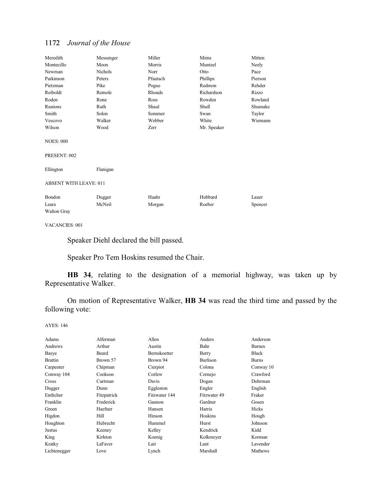| Meredith                         | Messenger | Miller   | Mims        | Mitten  |
|----------------------------------|-----------|----------|-------------|---------|
| Montecillo                       | Moon      | Morris   | Muntzel     | Neely   |
| Newman                           | Nichols   | Norr     | Otto        | Pace    |
| Parkinson                        | Peters    | Pfautsch | Phillips    | Pierson |
| Pietzman                         | Pike      | Pogue    | Redmon      | Rehder  |
| Reiboldt                         | Remole    | Rhoads   | Richardson  | Rizzo   |
| Roden                            | Rone      | Ross     | Rowden      | Rowland |
| Runions                          | Ruth      | Shaul    | Shull       | Shumake |
| Smith                            | Solon     | Sommer   | Swan        | Taylor  |
| Vescovo                          | Walker    | Webber   | White       | Wiemann |
| Wilson                           | Wood      | Zerr     | Mr. Speaker |         |
| <b>NOES: 000</b><br>PRESENT: 002 |           |          |             |         |
| Ellington                        | Flanigan  |          |             |         |
| <b>ABSENT WITH LEAVE: 011</b>    |           |          |             |         |
| Bondon                           | Dugger    | Haahr    | Hubbard     | Lauer   |
| Leara                            | McNeil    | Morgan   | Roeber      | Spencer |
| <b>Walton Gray</b>               |           |          |             |         |

VACANCIES: 001

Speaker Diehl declared the bill passed.

Speaker Pro Tem Hoskins resumed the Chair.

**HB 34**, relating to the designation of a memorial highway, was taken up by Representative Walker.

On motion of Representative Walker, **HB 34** was read the third time and passed by the following vote:

| Adams          | Alferman    | Allen               | Anders          | Anderson      |
|----------------|-------------|---------------------|-----------------|---------------|
| Andrews        | Arthur      | Austin              | Bahr            | <b>Barnes</b> |
| Basye          | Beard       | <b>Bernskoetter</b> | Berry           | <b>Black</b>  |
| <b>Brattin</b> | Brown 57    | Brown 94            | <b>Burlison</b> | <b>Burns</b>  |
| Carpenter      | Chipman     | Cierpiot            | Colona          | Conway 10     |
| Conway 104     | Cookson     | Corlew              | Cornejo         | Crawford      |
| Cross          | Curtman     | Davis               | Dogan           | Dohrman       |
| Dugger         | Dunn        | Eggleston           | Engler          | English       |
| Entlicher      | Fitzpatrick | Fitzwater 144       | Fitzwater 49    | Fraker        |
| Franklin       | Frederick   | Gannon              | Gardner         | Gosen         |
| Green          | Haefner     | Hansen              | Harris          | Hicks         |
| Higdon         | Hill        | Hinson              | Hoskins         | Hough         |
| Houghton       | Hubrecht    | Hummel              | Hurst           | Johnson       |
| Justus         | Keeney      | Kelley              | Kendrick        | Kidd          |
| King           | Kirkton     | Koenig              | Kolkmeyer       | Korman        |
| Kratky         | LaFaver     | Lair                | Lant            | Lavender      |
| Lichtenegger   | Love        | Lynch               | Marshall        | Mathews       |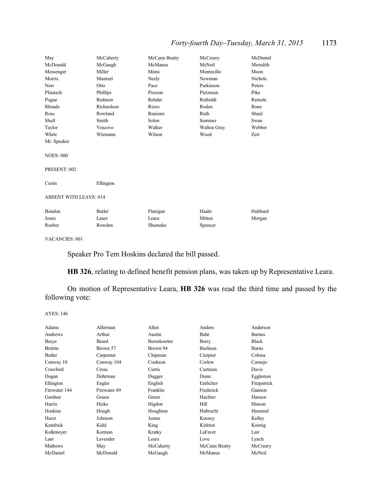## *Forty-fourth Day–Tuesday, March 31, 2015* 1173

| May                           | McCaherty  | McCann Beatty | McCreery    | McDaniel       |
|-------------------------------|------------|---------------|-------------|----------------|
| McDonald                      | McGaugh    | McManus       | McNeil      | Meredith       |
| Messenger                     | Miller     | Mims          | Montecillo  | Moon           |
| Morris                        | Muntzel    | Neely         | Newman      | <b>Nichols</b> |
| Norr                          | Otto       | Pace          | Parkinson   | Peters         |
| Pfautsch                      | Phillips   | Pierson       | Pietzman    | Pike           |
| Pogue                         | Redmon     | Rehder        | Reiboldt    | Remole         |
| Rhoads                        | Richardson | Rizzo         | Roden       | Rone           |
| Ross                          | Rowland    | Runions       | Ruth        | Shaul          |
| Shull                         | Smith      | Solon         | Sommer      | Swan           |
| Taylor                        | Vescovo    | Walker        | Walton Gray | Webber         |
| White                         | Wiemann    | Wilson        | Wood        | Zerr           |
| Mr. Speaker                   |            |               |             |                |
| <b>NOES: 000</b>              |            |               |             |                |
| PRESENT: 002                  |            |               |             |                |
| Curtis                        | Ellington  |               |             |                |
| <b>ABSENT WITH LEAVE: 014</b> |            |               |             |                |
| Bondon                        | Butler     | Flanigan      | Haahr       | Hubbard        |
| Jones                         | Lauer      | Leara         | Mitten      | Morgan         |
| Roeber                        | Rowden     | Shumake       | Spencer     |                |

VACANCIES: 001

Speaker Pro Tem Hoskins declared the bill passed.

**HB 326**, relating to defined benefit pension plans, was taken up by Representative Leara.

On motion of Representative Leara, **HB 326** was read the third time and passed by the following vote:

```
AYES: 146
```

| Adams          | Alferman     | Allen        | Anders          | Anderson      |
|----------------|--------------|--------------|-----------------|---------------|
| Andrews        | Arthur       | Austin       | Bahr            | <b>Barnes</b> |
| Basye          | Beard        | Bernskoetter | Berry           | <b>Black</b>  |
| <b>Brattin</b> | Brown 57     | Brown 94     | <b>Burlison</b> | <b>Burns</b>  |
| Butler         | Carpenter    | Chipman      | Cierpiot        | Colona        |
| Conway 10      | Conway 104   | Cookson      | Corlew          | Cornejo       |
| Crawford       | Cross        | Curtis       | Curtman         | Davis         |
| Dogan          | Dohrman      | Dugger       | Dunn            | Eggleston     |
| Ellington      | Engler       | English      | Entlicher       | Fitzpatrick   |
| Fitzwater 144  | Fitzwater 49 | Franklin     | Frederick       | Gannon        |
| Gardner        | Gosen        | Green        | Haefner         | Hansen        |
| Harris         | Hicks        | Higdon       | Hill            | Hinson        |
| Hoskins        | Hough        | Houghton     | Hubrecht        | Hummel        |
| Hurst          | Johnson      | Justus       | Keeney          | Kelley        |
| Kendrick       | Kidd         | King         | Kirkton         | Koenig        |
| Kolkmeyer      | Korman       | Kratky       | LaFaver         | Lair          |
| Lant           | Lavender     | Leara        | Love            | Lynch         |
| Mathews        | May          | McCaherty    | McCann Beatty   | McCreery      |
| McDaniel       | McDonald     | McGaugh      | McManus         | McNeil        |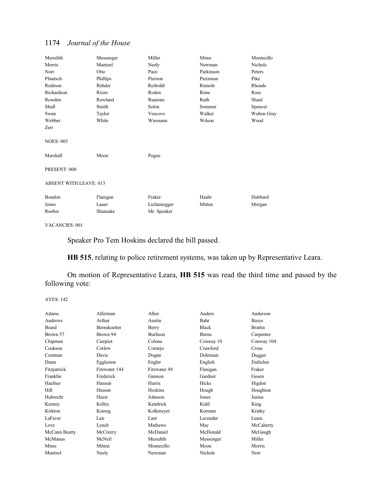| Meredith                      | Messenger | Miller       | Mims      | Montecillo  |
|-------------------------------|-----------|--------------|-----------|-------------|
| Morris                        | Muntzel   | Neely        | Newman    | Nichols     |
| Norr                          | Otto      | Pace         | Parkinson | Peters      |
| Pfautsch                      | Phillips  | Pierson      | Pietzman  | Pike        |
| Redmon                        | Rehder    | Reiboldt     | Remole    | Rhoads      |
| Richardson                    | Rizzo     | Roden        | Rone      | Ross        |
| Rowden                        | Rowland   | Runions      | Ruth      | Shaul       |
| Shull                         | Smith     | Solon        | Sommer    | Spencer     |
| Swan                          | Taylor    | Vescovo      | Walker    | Walton Gray |
| Webber                        | White     | Wiemann      | Wilson    | Wood        |
| Zerr                          |           |              |           |             |
| <b>NOES: 003</b>              |           |              |           |             |
| Marshall                      | Moon      | Pogue        |           |             |
| PRESENT: 000                  |           |              |           |             |
| <b>ABSENT WITH LEAVE: 013</b> |           |              |           |             |
| Bondon                        | Flanigan  | Fraker       | Haahr     | Hubbard     |
| Jones                         | Lauer     | Lichtenegger | Mitten    | Morgan      |
| Roeber                        | Shumake   | Mr. Speaker  |           |             |

VACANCIES: 001

Speaker Pro Tem Hoskins declared the bill passed.

**HB 515**, relating to police retirement systems, was taken up by Representative Leara.

On motion of Representative Leara, **HB 515** was read the third time and passed by the following vote:

| Adams         | Alferman      | Allen        | Anders         | Anderson       |
|---------------|---------------|--------------|----------------|----------------|
| Andrews       | Arthur        | Austin       | Bahr           | Basye          |
| Beard         | Bernskoetter  | Berry        | <b>Black</b>   | <b>Brattin</b> |
| Brown 57      | Brown 94      | Burlison     | <b>Burns</b>   | Carpenter      |
| Chipman       | Cierpiot      | Colona       | Conway 10      | Conway 104     |
| Cookson       | Corlew        | Cornejo      | Crawford       | <b>Cross</b>   |
| Curtman       | Davis         | Dogan        | Dohrman        | Dugger         |
| Dunn          | Eggleston     | Engler       | English        | Entlicher      |
| Fitzpatrick   | Fitzwater 144 | Fitzwater 49 | Flanigan       | Fraker         |
| Franklin      | Frederick     | Gannon       | Gardner        | Gosen          |
| Haefner       | Hansen        | Harris       | Hicks          | Higdon         |
| Hill          | Hinson        | Hoskins      | Hough          | Houghton       |
| Hubrecht      | Hurst         | Johnson      | Jones          | Justus         |
| Keeney        | Kelley        | Kendrick     | Kidd           | King           |
| Kirkton       | Koenig        | Kolkmeyer    | Korman         | Kratky         |
| LaFaver       | Lair          | Lant         | Lavender       | Leara          |
| Love          | Lynch         | Mathews      | May            | McCaherty      |
| McCann Beatty | McCreery      | McDaniel     | McDonald       | McGaugh        |
| McManus       | McNeil        | Meredith     | Messenger      | Miller         |
| Mims          | Mitten        | Montecillo   | Moon           | Morris         |
| Muntzel       | Neely         | Newman       | <b>Nichols</b> | Norr           |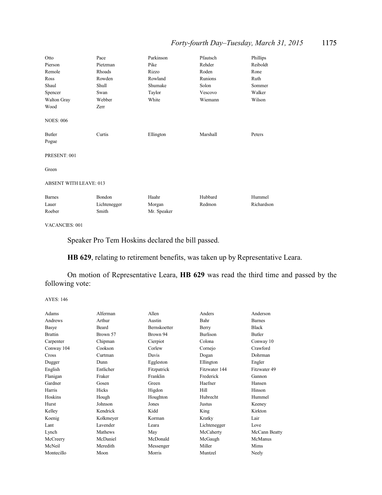## *Forty-fourth Day–Tuesday, March 31, 2015* 1175

| Otto                          | Pace         | Parkinson   | Pfautsch | Phillips   |  |
|-------------------------------|--------------|-------------|----------|------------|--|
| Pierson                       | Pietzman     | Pike        | Rehder   | Reiboldt   |  |
| Remole                        | Rhoads       | Rizzo       | Roden    | Rone       |  |
| Ross                          | Rowden       | Rowland     | Runions  | Ruth       |  |
| Shaul                         | Shull        | Shumake     | Solon    | Sommer     |  |
| Spencer                       | Swan         | Taylor      | Vescovo  | Walker     |  |
| Walton Gray                   | Webber       | White       | Wiemann  | Wilson     |  |
| Wood                          | Zerr         |             |          |            |  |
| <b>NOES: 006</b>              |              |             |          |            |  |
| <b>Butler</b>                 | Curtis       | Ellington   | Marshall | Peters     |  |
| Pogue                         |              |             |          |            |  |
| PRESENT: 001                  |              |             |          |            |  |
| Green                         |              |             |          |            |  |
| <b>ABSENT WITH LEAVE: 013</b> |              |             |          |            |  |
| <b>Barnes</b>                 | Bondon       | Haahr       | Hubbard  | Hummel     |  |
| Lauer                         | Lichtenegger | Morgan      | Redmon   | Richardson |  |
| Roeber                        | Smith        | Mr. Speaker |          |            |  |
|                               |              |             |          |            |  |

VACANCIES: 001

Speaker Pro Tem Hoskins declared the bill passed.

**HB 629**, relating to retirement benefits, was taken up by Representative Leara.

On motion of Representative Leara, **HB 629** was read the third time and passed by the following vote:

```
AYES: 146
```

| Andrews<br>Arthur<br>Bahr<br>Austin<br><b>Barnes</b><br>Beard<br><b>Bernskoetter</b><br><b>Black</b><br>Basye<br>Berry<br>Brown 57<br>Brown 94<br><b>Burlison</b><br><b>Butler</b><br><b>Brattin</b><br>Colona<br>Chipman<br>Cierpiot<br>Conway 10<br>Carpenter<br>Cookson<br>Corlew<br>Crawford<br>Conway 104<br>Cornejo<br>Davis<br>Dohrman<br>Cross<br>Curtman<br>Dogan<br>Eggleston<br>Ellington<br>Engler<br>Dugger<br>Dunn<br>Entlicher<br>Fitzwater 144<br>Fitzwater 49<br>English<br>Fitzpatrick<br>Flanigan<br>Fraker<br>Franklin<br>Frederick<br>Gannon<br>Gardner<br>Haefner<br>Gosen<br>Green<br>Hansen<br>Hicks<br>Higdon<br>Hill<br>Harris<br>Hinson<br>Hoskins<br>Hubrecht<br>Hough<br>Houghton<br>Hummel<br>Johnson<br>Hurst<br>Jones<br>Justus<br>Keeney<br>Kendrick<br>Kidd<br>Kirkton<br>Kelley<br>King<br>Lair<br>Koenig<br>Kolkmeyer<br>Kratky<br>Korman<br>Lavender<br>Lant<br>Lichtenegger<br>Leara<br>Love<br>Mathews<br>McCaherty<br>Lynch<br>May<br>McDaniel<br>McCreery<br>McDonald<br>McGaugh<br>McManus<br>Miller<br>McNeil<br>Meredith<br>Mims<br>Messenger<br>Montecillo<br>Morris<br>Moon<br>Neely<br>Muntzel | Adams | Alferman | Allen | Anders | Anderson      |
|-----------------------------------------------------------------------------------------------------------------------------------------------------------------------------------------------------------------------------------------------------------------------------------------------------------------------------------------------------------------------------------------------------------------------------------------------------------------------------------------------------------------------------------------------------------------------------------------------------------------------------------------------------------------------------------------------------------------------------------------------------------------------------------------------------------------------------------------------------------------------------------------------------------------------------------------------------------------------------------------------------------------------------------------------------------------------------------------------------------------------------------------------|-------|----------|-------|--------|---------------|
|                                                                                                                                                                                                                                                                                                                                                                                                                                                                                                                                                                                                                                                                                                                                                                                                                                                                                                                                                                                                                                                                                                                                               |       |          |       |        |               |
|                                                                                                                                                                                                                                                                                                                                                                                                                                                                                                                                                                                                                                                                                                                                                                                                                                                                                                                                                                                                                                                                                                                                               |       |          |       |        |               |
|                                                                                                                                                                                                                                                                                                                                                                                                                                                                                                                                                                                                                                                                                                                                                                                                                                                                                                                                                                                                                                                                                                                                               |       |          |       |        |               |
|                                                                                                                                                                                                                                                                                                                                                                                                                                                                                                                                                                                                                                                                                                                                                                                                                                                                                                                                                                                                                                                                                                                                               |       |          |       |        |               |
|                                                                                                                                                                                                                                                                                                                                                                                                                                                                                                                                                                                                                                                                                                                                                                                                                                                                                                                                                                                                                                                                                                                                               |       |          |       |        |               |
|                                                                                                                                                                                                                                                                                                                                                                                                                                                                                                                                                                                                                                                                                                                                                                                                                                                                                                                                                                                                                                                                                                                                               |       |          |       |        |               |
|                                                                                                                                                                                                                                                                                                                                                                                                                                                                                                                                                                                                                                                                                                                                                                                                                                                                                                                                                                                                                                                                                                                                               |       |          |       |        |               |
|                                                                                                                                                                                                                                                                                                                                                                                                                                                                                                                                                                                                                                                                                                                                                                                                                                                                                                                                                                                                                                                                                                                                               |       |          |       |        |               |
|                                                                                                                                                                                                                                                                                                                                                                                                                                                                                                                                                                                                                                                                                                                                                                                                                                                                                                                                                                                                                                                                                                                                               |       |          |       |        |               |
|                                                                                                                                                                                                                                                                                                                                                                                                                                                                                                                                                                                                                                                                                                                                                                                                                                                                                                                                                                                                                                                                                                                                               |       |          |       |        |               |
|                                                                                                                                                                                                                                                                                                                                                                                                                                                                                                                                                                                                                                                                                                                                                                                                                                                                                                                                                                                                                                                                                                                                               |       |          |       |        |               |
|                                                                                                                                                                                                                                                                                                                                                                                                                                                                                                                                                                                                                                                                                                                                                                                                                                                                                                                                                                                                                                                                                                                                               |       |          |       |        |               |
|                                                                                                                                                                                                                                                                                                                                                                                                                                                                                                                                                                                                                                                                                                                                                                                                                                                                                                                                                                                                                                                                                                                                               |       |          |       |        |               |
|                                                                                                                                                                                                                                                                                                                                                                                                                                                                                                                                                                                                                                                                                                                                                                                                                                                                                                                                                                                                                                                                                                                                               |       |          |       |        |               |
|                                                                                                                                                                                                                                                                                                                                                                                                                                                                                                                                                                                                                                                                                                                                                                                                                                                                                                                                                                                                                                                                                                                                               |       |          |       |        |               |
|                                                                                                                                                                                                                                                                                                                                                                                                                                                                                                                                                                                                                                                                                                                                                                                                                                                                                                                                                                                                                                                                                                                                               |       |          |       |        |               |
|                                                                                                                                                                                                                                                                                                                                                                                                                                                                                                                                                                                                                                                                                                                                                                                                                                                                                                                                                                                                                                                                                                                                               |       |          |       |        | McCann Beatty |
|                                                                                                                                                                                                                                                                                                                                                                                                                                                                                                                                                                                                                                                                                                                                                                                                                                                                                                                                                                                                                                                                                                                                               |       |          |       |        |               |
|                                                                                                                                                                                                                                                                                                                                                                                                                                                                                                                                                                                                                                                                                                                                                                                                                                                                                                                                                                                                                                                                                                                                               |       |          |       |        |               |
|                                                                                                                                                                                                                                                                                                                                                                                                                                                                                                                                                                                                                                                                                                                                                                                                                                                                                                                                                                                                                                                                                                                                               |       |          |       |        |               |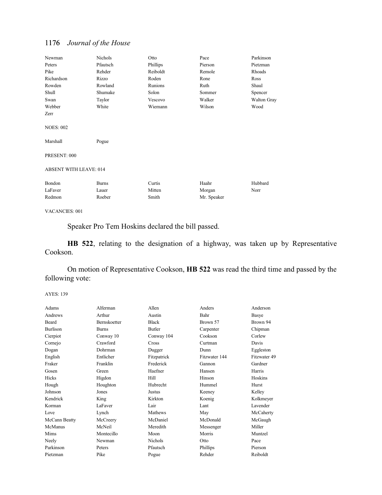| Newman                        | Nichols      | Otto     | Pace        | Parkinson   |
|-------------------------------|--------------|----------|-------------|-------------|
| Peters                        | Pfautsch     | Phillips | Pierson     | Pietzman    |
| Pike                          | Rehder       | Reiboldt | Remole      | Rhoads      |
| Richardson                    | Rizzo        | Roden    | Rone        | Ross        |
| Rowden                        | Rowland      | Runions  | Ruth        | Shaul       |
| Shull                         | Shumake      | Solon    | Sommer      | Spencer     |
| Swan                          | Taylor       | Vescovo  | Walker      | Walton Gray |
| Webber                        | White        | Wiemann  | Wilson      | Wood        |
| Zerr                          |              |          |             |             |
| <b>NOES: 002</b>              |              |          |             |             |
| Marshall                      | Pogue        |          |             |             |
| PRESENT: 000                  |              |          |             |             |
| <b>ABSENT WITH LEAVE: 014</b> |              |          |             |             |
| Bondon                        | <b>Burns</b> | Curtis   | Haahr       | Hubbard     |
| LaFaver                       | Lauer        | Mitten   | Morgan      | Norr        |
| Redmon                        | Roeber       | Smith    | Mr. Speaker |             |
|                               |              |          |             |             |

### VACANCIES: 001

Speaker Pro Tem Hoskins declared the bill passed.

**HB 522**, relating to the designation of a highway, was taken up by Representative Cookson.

On motion of Representative Cookson, **HB 522** was read the third time and passed by the following vote:

| Adams           | Alferman     | Allen          | Anders        | Anderson     |
|-----------------|--------------|----------------|---------------|--------------|
| Andrews         | Arthur       | Austin         | Bahr          | Basye        |
| Beard           | Bernskoetter | <b>Black</b>   | Brown 57      | Brown 94     |
| <b>Burlison</b> | <b>Burns</b> | Butler         | Carpenter     | Chipman      |
| Cierpiot        | Conway 10    | Conway 104     | Cookson       | Corlew       |
| Cornejo         | Crawford     | Cross          | Curtman       | Davis        |
| Dogan           | Dohrman      | Dugger         | Dunn          | Eggleston    |
| English         | Entlicher    | Fitzpatrick    | Fitzwater 144 | Fitzwater 49 |
| Fraker          | Franklin     | Frederick      | Gannon        | Gardner      |
| Gosen           | Green        | Haefner        | Hansen        | Harris       |
| Hicks           | Higdon       | Hill           | Hinson        | Hoskins      |
| Hough           | Houghton     | Hubrecht       | Hummel        | Hurst        |
| Johnson         | Jones        | Justus         | Keeney        | Kelley       |
| Kendrick        | King         | Kirkton        | Koenig        | Kolkmeyer    |
| Korman          | LaFaver      | Lair           | Lant          | Lavender     |
| Love            | Lynch        | Mathews        | May           | McCaherty    |
| McCann Beatty   | McCreery     | McDaniel       | McDonald      | McGaugh      |
| McManus         | McNeil       | Meredith       | Messenger     | Miller       |
| Mims            | Montecillo   | Moon           | Morris        | Muntzel      |
| Neely           | Newman       | <b>Nichols</b> | Otto          | Pace         |
| Parkinson       | Peters       | Pfautsch       | Phillips      | Pierson      |
| Pietzman        | Pike         | Pogue          | Rehder        | Reiboldt     |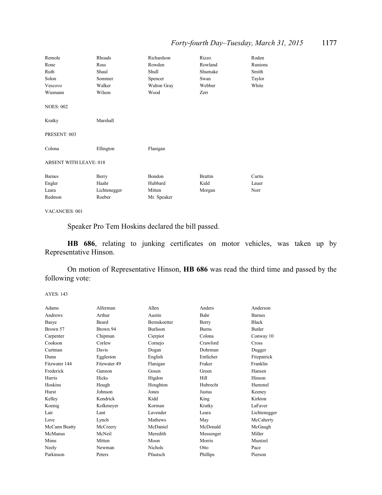## *Forty-fourth Day–Tuesday, March 31, 2015* 1177

| Remole                        | Rhoads       | Richardson  | Rizzo          | Roden   |
|-------------------------------|--------------|-------------|----------------|---------|
| Rone                          | Ross         | Rowden      | Rowland        | Runions |
| Ruth                          | Shaul        | Shull       | Shumake        | Smith   |
| Solon                         | Sommer       | Spencer     | Swan           | Taylor  |
| Vescovo                       | Walker       | Walton Gray | Webber         | White   |
| Wiemann                       | Wilson       | Wood        | Zerr           |         |
| <b>NOES: 002</b>              |              |             |                |         |
| Kratky                        | Marshall     |             |                |         |
| PRESENT: 003                  |              |             |                |         |
| Colona                        | Ellington    | Flanigan    |                |         |
| <b>ABSENT WITH LEAVE: 018</b> |              |             |                |         |
| <b>Barnes</b>                 | Berry        | Bondon      | <b>Brattin</b> | Curtis  |
| Engler                        | Haahr        | Hubbard     | Kidd           | Lauer   |
| Leara                         | Lichtenegger | Mitten      | Morgan         | Norr    |
| Redmon                        | Roeber       | Mr. Speaker |                |         |

VACANCIES: 001

Speaker Pro Tem Hoskins declared the bill passed.

**HB 686**, relating to junking certificates on motor vehicles, was taken up by Representative Hinson.

On motion of Representative Hinson, **HB 686** was read the third time and passed by the following vote:

| Adams         | Alferman     | Allen           | Anders       | Anderson      |
|---------------|--------------|-----------------|--------------|---------------|
| Andrews       | Arthur       | Austin          | Bahr         | <b>Barnes</b> |
| Basye         | Beard        | Bernskoetter    | Berry        | <b>Black</b>  |
| Brown 57      | Brown 94     | <b>Burlison</b> | <b>Burns</b> | <b>Butler</b> |
| Carpenter     | Chipman      | Cierpiot        | Colona       | Conway 10     |
| Cookson       | Corlew       | Cornejo         | Crawford     | Cross         |
| Curtman       | Davis        | Dogan           | Dohrman      | Dugger        |
| Dunn          | Eggleston    | English         | Entlicher    | Fitzpatrick   |
| Fitzwater 144 | Fitzwater 49 | Flanigan        | Fraker       | Franklin      |
| Frederick     | Gannon       | Gosen           | Green        | Hansen        |
| Harris        | Hicks        | Higdon          | Hill         | Hinson        |
| Hoskins       | Hough        | Houghton        | Hubrecht     | Hummel        |
| Hurst         | Johnson      | Jones           | Justus       | Keeney        |
| Kelley        | Kendrick     | Kidd            | King         | Kirkton       |
| Koenig        | Kolkmeyer    | Korman          | Kratky       | LaFaver       |
| Lair          | Lant         | Lavender        | Leara        | Lichtenegger  |
| Love          | Lynch        | Mathews         | May          | McCaherty     |
| McCann Beatty | McCreery     | McDaniel        | McDonald     | McGaugh       |
| McManus       | McNeil       | Meredith        | Messenger    | Miller        |
| Mims          | Mitten       | Moon            | Morris       | Muntzel       |
| Neely         | Newman       | <b>Nichols</b>  | Otto         | Pace          |
| Parkinson     | Peters       | Pfautsch        | Phillips     | Pierson       |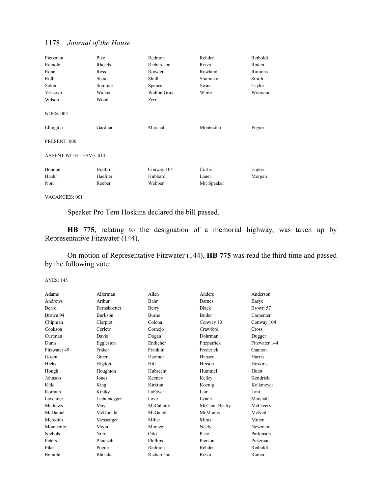| Pietzman                                      | Pike           | Redmon             | Rehder      | Reiboldt |
|-----------------------------------------------|----------------|--------------------|-------------|----------|
| Remole                                        | Rhoads         | Richardson         | Rizzo       | Roden    |
| Rone                                          | Ross           | Rowden             | Rowland     | Runions  |
| Ruth                                          | Shaul          | Shull              | Shumake     | Smith    |
| Solon                                         | Sommer         | Spencer            | Swan        | Taylor   |
| Vescovo                                       | Walker         | <b>Walton Gray</b> | White       | Wiemann  |
| Wilson                                        | Wood           | Zerr               |             |          |
| <b>NOES: 005</b><br>Ellington<br>PRESENT: 000 | Gardner        | Marshall           | Montecillo  | Pogue    |
| <b>ABSENT WITH LEAVE: 014</b>                 |                |                    |             |          |
| Bondon                                        | <b>Brattin</b> | Conway 104         | Curtis      | Engler   |
| Haahr                                         | Haefner        | Hubbard            | Lauer       | Morgan   |
| Norr                                          | Roeber         | Webber             | Mr. Speaker |          |

VACANCIES: 001

Speaker Pro Tem Hoskins declared the bill passed.

**HB 775**, relating to the designation of a memorial highway, was taken up by Representative Fitzwater (144).

On motion of Representative Fitzwater (144), **HB 775** was read the third time and passed by the following vote:

| Adams          | Alferman            | Allen        | Anders        | Anderson      |
|----------------|---------------------|--------------|---------------|---------------|
| Andrews        | Arthur              | Bahr         | <b>Barnes</b> | Basye         |
| Beard          | <b>Bernskoetter</b> | Berry        | <b>Black</b>  | Brown 57      |
| Brown 94       | <b>Burlison</b>     | <b>Burns</b> | <b>Butler</b> | Carpenter     |
| Chipman        | Cierpiot            | Colona       | Conway 10     | Conway 104    |
| Cookson        | Corlew              | Cornejo      | Crawford      | Cross         |
| Curtman        | Davis               | Dogan        | Dohrman       | Dugger        |
| Dunn           | Eggleston           | Entlicher    | Fitzpatrick   | Fitzwater 144 |
| Fitzwater 49   | Fraker              | Franklin     | Frederick     | Gannon        |
| Gosen          | Green               | Haefner      | Hansen        | Harris        |
| Hicks          | Higdon              | Hill         | Hinson        | Hoskins       |
| Hough          | Houghton            | Hubrecht     | Hummel        | Hurst         |
| Johnson        | Jones               | Keeney       | Kelley        | Kendrick      |
| Kidd           | King                | Kirkton      | Koenig        | Kolkmeyer     |
| Korman         | Kratky              | LaFaver      | Lair          | Lant          |
| Lavender       | Lichtenegger        | Love         | Lynch         | Marshall      |
| Mathews        | May                 | McCaherty    | McCann Beatty | McCreery      |
| McDaniel       | McDonald            | McGaugh      | McManus       | McNeil        |
| Meredith       | Messenger           | Miller       | Mims          | Mitten        |
| Montecillo     | Moon                | Muntzel      | Neely         | Newman        |
| <b>Nichols</b> | Norr                | Otto         | Pace          | Parkinson     |
| Peters         | Pfautsch            | Phillips     | Pierson       | Pietzman      |
| Pike           | Pogue               | Redmon       | Rehder        | Reiboldt      |
| Remole         | Rhoads              | Richardson   | Rizzo         | Roden         |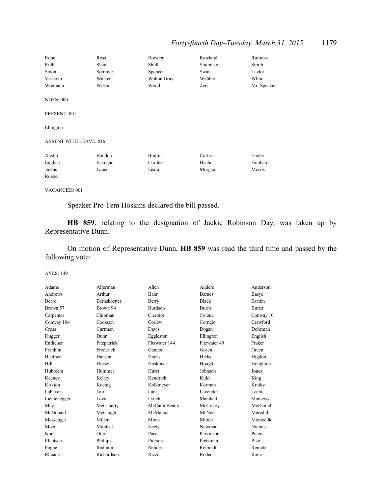## *Forty-fourth Day–Tuesday, March 31, 2015* 1179

| Rone                          | Ross     | Rowden             | Rowland | Runions     |
|-------------------------------|----------|--------------------|---------|-------------|
| Ruth                          | Shaul    | Shull              | Shumake | Smith       |
| Solon                         | Sommer   | Spencer            | Swan    | Taylor      |
| Vescovo                       | Walker   | <b>Walton Gray</b> | Webber  | White       |
| Wiemann                       | Wilson   | Wood               | Zerr    | Mr. Speaker |
| <b>NOES: 000</b>              |          |                    |         |             |
| PRESENT: 001                  |          |                    |         |             |
| Ellington                     |          |                    |         |             |
| <b>ABSENT WITH LEAVE: 016</b> |          |                    |         |             |
| Austin                        | Bondon   | <b>Brattin</b>     | Curtis  | Engler      |
| English                       | Flanigan | Gardner            | Haahr   | Hubbard     |
| Justus                        | Lauer    | Leara              | Morgan  | Morris      |
| Roeber                        |          |                    |         |             |

VACANCIES: 001

Speaker Pro Tem Hoskins declared the bill passed.

**HB 859**, relating to the designation of Jackie Robinson Day, was taken up by Representative Dunn.

On motion of Representative Dunn, **HB 859** was read the third time and passed by the following vote:

| Adams        | Alferman            | Allen           | Anders        | Anderson       |
|--------------|---------------------|-----------------|---------------|----------------|
| Andrews      | Arthur              | Bahr            | <b>Barnes</b> | Basye          |
| <b>Beard</b> | <b>Bernskoetter</b> | Berry           | <b>Black</b>  | <b>Brattin</b> |
| Brown 57     | Brown 94            | <b>Burlison</b> | <b>Burns</b>  | <b>Butler</b>  |
| Carpenter    | Chipman             | Cierpiot        | Colona        | Conway 10      |
| Conway 104   | Cookson             | Corlew          | Cornejo       | Crawford       |
| Cross        | Curtman             | Davis           | Dogan         | Dohrman        |
| Dugger       | Dunn                | Eggleston       | Ellington     | English        |
| Entlicher    | Fitzpatrick         | Fitzwater 144   | Fitzwater 49  | Fraker         |
| Franklin     | Frederick           | Gannon          | Gosen         | Green          |
| Haefner      | Hansen              | Harris          | Hicks         | Higdon         |
| Hill         | Hinson              | Hoskins         | Hough         | Houghton       |
| Hubrecht     | Hummel              | Hurst           | Johnson       | Jones          |
| Keeney       | Kelley              | Kendrick        | Kidd          | King           |
| Kirkton      | Koenig              | Kolkmeyer       | Korman        | Kratky         |
| LaFaver      | Lair                | Lant            | Lavender      | Leara          |
| Lichtenegger | Love                | Lynch           | Marshall      | Mathews        |
| May          | McCaherty           | McCann Beatty   | McCreery      | McDaniel       |
| McDonald     | McGaugh             | McManus         | McNeil        | Meredith       |
| Messenger    | Miller              | Mims            | Mitten        | Montecillo     |
| Moon         | Muntzel             | Neely           | Newman        | <b>Nichols</b> |
| Norr         | Otto                | Pace            | Parkinson     | Peters         |
| Pfautsch     | Phillips            | Pierson         | Pietzman      | Pike           |
| Pogue        | Redmon              | Rehder          | Reiboldt      | Remole         |
| Rhoads       | Richardson          | Rizzo           | Roden         | Rone           |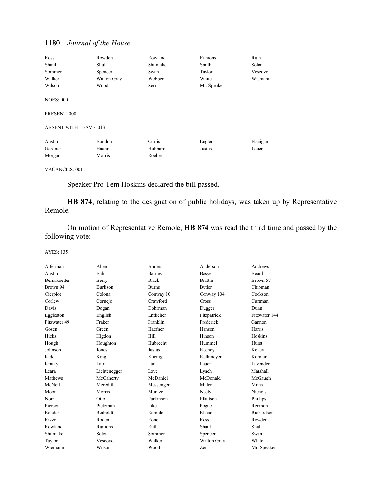| Ross                          | Rowden             | Rowland | Runions     | Ruth     |
|-------------------------------|--------------------|---------|-------------|----------|
| Shaul                         | Shull              | Shumake | Smith       | Solon    |
| Sommer                        | Spencer            | Swan    | Taylor      | Vescovo  |
| Walker                        | <b>Walton Gray</b> | Webber  | White       | Wiemann  |
| Wilson                        | Wood               | Zerr    | Mr. Speaker |          |
| <b>NOES: 000</b>              |                    |         |             |          |
| PRESENT: 000                  |                    |         |             |          |
| <b>ABSENT WITH LEAVE: 013</b> |                    |         |             |          |
| Austin                        | Bondon             | Curtis  | Engler      | Flanigan |
| Gardner                       | Haahr              | Hubbard | Justus      | Lauer    |
| Morgan                        | Morris             | Roeber  |             |          |

VACANCIES: 001

Speaker Pro Tem Hoskins declared the bill passed.

**HB 874**, relating to the designation of public holidays, was taken up by Representative Remole.

On motion of Representative Remole, **HB 874** was read the third time and passed by the following vote:

| Alferman            | Allen           | Anders        | Anderson       | Andrews        |
|---------------------|-----------------|---------------|----------------|----------------|
| Austin              | Bahr            | <b>Barnes</b> | Basye          | Beard          |
| <b>Bernskoetter</b> | Berry           | <b>Black</b>  | <b>Brattin</b> | Brown 57       |
| Brown 94            | <b>Burlison</b> | <b>Burns</b>  | <b>Butler</b>  | Chipman        |
| Cierpiot            | Colona          | Conway 10     | Conway 104     | Cookson        |
| Corlew              | Cornejo         | Crawford      | Cross          | Curtman        |
| Davis               | Dogan           | Dohrman       | Dugger         | Dunn           |
| Eggleston           | English         | Entlicher     | Fitzpatrick    | Fitzwater 144  |
| Fitzwater 49        | Fraker          | Franklin      | Frederick      | Gannon         |
| Gosen               | Green           | Haefner       | Hansen         | Harris         |
| Hicks               | Higdon          | Hill          | Hinson         | <b>Hoskins</b> |
| Hough               | Houghton        | Hubrecht      | Hummel         | Hurst          |
| Johnson             | Jones           | Justus        | Keeney         | Kelley         |
| Kidd                | King            | Koenig        | Kolkmeyer      | Korman         |
| Kratky              | Lair            | Lant          | Lauer          | Lavender       |
| Leara               | Lichtenegger    | Love          | Lynch          | Marshall       |
| Mathews             | McCaherty       | McDaniel      | McDonald       | McGaugh        |
| McNeil              | Meredith        | Messenger     | Miller         | Mims           |
| Moon                | Morris          | Muntzel       | Neely          | <b>Nichols</b> |
| Norr                | Otto            | Parkinson     | Pfautsch       | Phillips       |
| Pierson             | Pietzman        | Pike          | Pogue          | Redmon         |
| Rehder              | Reiboldt        | Remole        | Rhoads         | Richardson     |
| Rizzo               | Roden           | Rone          | Ross           | Rowden         |
| Rowland             | Runions         | Ruth          | Shaul          | Shull          |
| Shumake             | Solon           | Sommer        | Spencer        | Swan           |
| Taylor              | Vescovo         | Walker        | Walton Gray    | White          |
| Wiemann             | Wilson          | Wood          | Zerr           | Mr. Speaker    |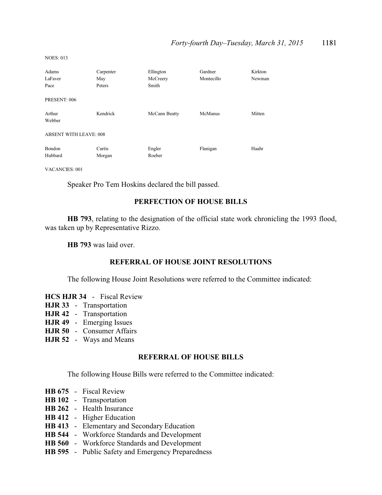NOES: 013

| Adams<br>LaFaver              | Carpenter<br>May | Ellington<br>McCreery | Gardner<br>Montecillo | Kirkton<br>Newman |
|-------------------------------|------------------|-----------------------|-----------------------|-------------------|
| Pace                          | Peters           | Smith                 |                       |                   |
| PRESENT: 006                  |                  |                       |                       |                   |
| Arthur<br>Webber              | Kendrick         | McCann Beatty         | McManus               | Mitten            |
| <b>ABSENT WITH LEAVE: 008</b> |                  |                       |                       |                   |
| Bondon<br>Hubbard             | Curtis<br>Morgan | Engler<br>Roeber      | Flanigan              | Haahr             |

VACANCIES: 001

Speaker Pro Tem Hoskins declared the bill passed.

### **PERFECTION OF HOUSE BILLS**

**HB 793**, relating to the designation of the official state work chronicling the 1993 flood, was taken up by Representative Rizzo.

**HB 793** was laid over.

## **REFERRAL OF HOUSE JOINT RESOLUTIONS**

The following House Joint Resolutions were referred to the Committee indicated:

- **HCS HJR 34** Fiscal Review
- **HJR 33** Transportation
- **HJR 42** Transportation
- **HJR 49** Emerging Issues
- **HJR 50** Consumer Affairs
- **HJR 52** Ways and Means

#### **REFERRAL OF HOUSE BILLS**

The following House Bills were referred to the Committee indicated:

- **HB 675** Fiscal Review
- **HB 102** Transportation
- **HB 262** Health Insurance
- **HB 412** Higher Education
- **HB 413** Elementary and Secondary Education
- **HB 544** Workforce Standards and Development
- **HB 560** Workforce Standards and Development
- **HB 595** Public Safety and Emergency Preparedness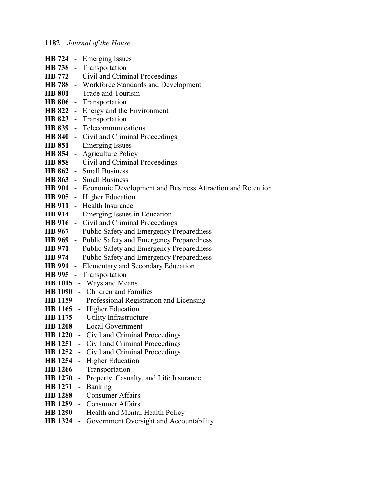|                                  |                          | <b>HB</b> 724 - Emerging Issues                                            |
|----------------------------------|--------------------------|----------------------------------------------------------------------------|
|                                  |                          | HB 738 - Transportation                                                    |
|                                  |                          | HB 772 - Civil and Criminal Proceedings                                    |
|                                  |                          | <b>HB 788</b> - Workforce Standards and Development                        |
|                                  |                          | HB 801 - Trade and Tourism                                                 |
|                                  |                          | HB 806 - Transportation                                                    |
|                                  |                          | HB 822 - Energy and the Environment                                        |
|                                  |                          | HB 823 - Transportation                                                    |
|                                  |                          | HB 839 - Telecommunications                                                |
|                                  |                          | HB 840 - Civil and Criminal Proceedings                                    |
|                                  |                          | HB 851 - Emerging Issues                                                   |
|                                  |                          | <b>HB 854</b> - Agriculture Policy                                         |
|                                  |                          | HB 858 - Civil and Criminal Proceedings                                    |
|                                  |                          | <b>HB 862</b> - Small Business                                             |
|                                  |                          | <b>HB 863</b> - Small Business                                             |
|                                  |                          | <b>HB 901</b> - Economic Development and Business Attraction and Retention |
|                                  |                          | <b>HB 905</b> - Higher Education                                           |
|                                  |                          | HB 911 - Health Insurance                                                  |
|                                  |                          | <b>HB 914</b> - Emerging Issues in Education                               |
|                                  |                          | <b>HB 916</b> - Civil and Criminal Proceedings                             |
|                                  |                          | <b>HB 967</b> - Public Safety and Emergency Preparedness                   |
|                                  |                          | <b>HB 969</b> - Public Safety and Emergency Preparedness                   |
|                                  |                          | <b>HB 971</b> - Public Safety and Emergency Preparedness                   |
| <b>HB</b> 974                    |                          | - Public Safety and Emergency Preparedness                                 |
|                                  |                          | HB 991 - Elementary and Secondary Education                                |
|                                  |                          | HB 995 - Transportation                                                    |
|                                  |                          | HB 1015 - Ways and Means                                                   |
|                                  |                          | <b>HB 1090</b> - Children and Families                                     |
|                                  |                          | HB 1159 - Professional Registration and Licensing                          |
|                                  |                          | HB 1165 - Higher Education                                                 |
|                                  |                          | HB 1175 - Utility Infrastructure                                           |
|                                  |                          | HB 1208 - Local Government                                                 |
| <b>HB</b> 1220                   |                          | - Civil and Criminal Proceedings                                           |
| <b>HB</b> 1251                   |                          | Civil and Criminal Proceedings<br>$\sim$                                   |
| <b>HB</b> 1252<br>HB 1254        |                          | Civil and Criminal Proceedings<br>$\mathcal{L}_{\mathcal{A}}$              |
|                                  | $\overline{\phantom{a}}$ | <b>Higher Education</b>                                                    |
| <b>HB</b> 1266<br><b>HB</b> 1270 |                          | Transportation<br>Property, Casualty, and Life Insurance                   |
| <b>HB</b> 1271                   | $\blacksquare$           | Banking                                                                    |
| <b>HB</b> 1288                   |                          | <b>Consumer Affairs</b>                                                    |
| <b>HB</b> 1289                   |                          | <b>Consumer Affairs</b><br>$\overline{\phantom{0}}$                        |
| <b>HB</b> 1290                   |                          | - Health and Mental Health Policy                                          |
| HB 1324                          |                          | Government Oversight and Accountability                                    |
|                                  |                          |                                                                            |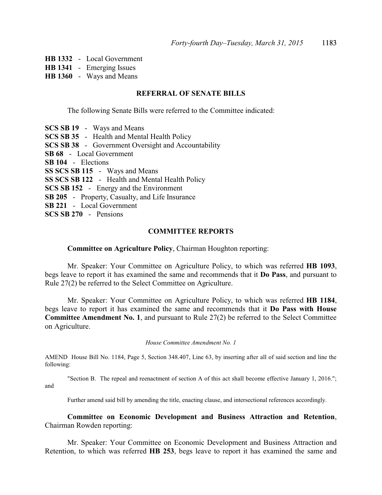**HB 1332** - Local Government

**HB 1341** - Emerging Issues

**HB 1360** - Ways and Means

## **REFERRAL OF SENATE BILLS**

The following Senate Bills were referred to the Committee indicated:

**SCS SB 19** - Ways and Means

**SCS SB 35** - Health and Mental Health Policy

**SCS SB 38** - Government Oversight and Accountability

**SB 68** - Local Government

**SB 104** - Elections

**SS SCS SB 115** - Ways and Means

**SS SCS SB 122** - Health and Mental Health Policy

**SCS SB 152** - Energy and the Environment

**SB 205** - Property, Casualty, and Life Insurance

**SB 221** - Local Government

**SCS SB 270** - Pensions

### **COMMITTEE REPORTS**

#### **Committee on Agriculture Policy**, Chairman Houghton reporting:

Mr. Speaker: Your Committee on Agriculture Policy, to which was referred **HB 1093**, begs leave to report it has examined the same and recommends that it **Do Pass**, and pursuant to Rule 27(2) be referred to the Select Committee on Agriculture.

Mr. Speaker: Your Committee on Agriculture Policy, to which was referred **HB 1184**, begs leave to report it has examined the same and recommends that it **Do Pass with House Committee Amendment No. 1**, and pursuant to Rule 27(2) be referred to the Select Committee on Agriculture.

#### *House Committee Amendment No. 1*

AMEND House Bill No. 1184, Page 5, Section 348.407, Line 63, by inserting after all of said section and line the following:

"Section B. The repeal and reenactment of section A of this act shall become effective January 1, 2016."; and

Further amend said bill by amending the title, enacting clause, and intersectional references accordingly.

## **Committee on Economic Development and Business Attraction and Retention**, Chairman Rowden reporting:

Mr. Speaker: Your Committee on Economic Development and Business Attraction and Retention, to which was referred **HB 253**, begs leave to report it has examined the same and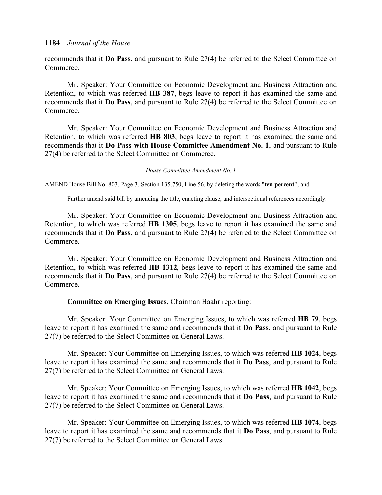recommends that it **Do Pass**, and pursuant to Rule 27(4) be referred to the Select Committee on Commerce.

Mr. Speaker: Your Committee on Economic Development and Business Attraction and Retention, to which was referred **HB 387**, begs leave to report it has examined the same and recommends that it **Do Pass**, and pursuant to Rule 27(4) be referred to the Select Committee on Commerce.

Mr. Speaker: Your Committee on Economic Development and Business Attraction and Retention, to which was referred **HB 803**, begs leave to report it has examined the same and recommends that it **Do Pass with House Committee Amendment No. 1**, and pursuant to Rule 27(4) be referred to the Select Committee on Commerce.

#### *House Committee Amendment No. 1*

AMEND House Bill No. 803, Page 3, Section 135.750, Line 56, by deleting the words "**ten percent**"; and

Further amend said bill by amending the title, enacting clause, and intersectional references accordingly.

Mr. Speaker: Your Committee on Economic Development and Business Attraction and Retention, to which was referred **HB 1305**, begs leave to report it has examined the same and recommends that it **Do Pass**, and pursuant to Rule 27(4) be referred to the Select Committee on Commerce.

Mr. Speaker: Your Committee on Economic Development and Business Attraction and Retention, to which was referred **HB 1312**, begs leave to report it has examined the same and recommends that it **Do Pass**, and pursuant to Rule 27(4) be referred to the Select Committee on Commerce.

#### **Committee on Emerging Issues**, Chairman Haahr reporting:

Mr. Speaker: Your Committee on Emerging Issues, to which was referred **HB 79**, begs leave to report it has examined the same and recommends that it **Do Pass**, and pursuant to Rule 27(7) be referred to the Select Committee on General Laws.

Mr. Speaker: Your Committee on Emerging Issues, to which was referred **HB 1024**, begs leave to report it has examined the same and recommends that it **Do Pass**, and pursuant to Rule 27(7) be referred to the Select Committee on General Laws.

Mr. Speaker: Your Committee on Emerging Issues, to which was referred **HB 1042**, begs leave to report it has examined the same and recommends that it **Do Pass**, and pursuant to Rule 27(7) be referred to the Select Committee on General Laws.

Mr. Speaker: Your Committee on Emerging Issues, to which was referred **HB 1074**, begs leave to report it has examined the same and recommends that it **Do Pass**, and pursuant to Rule 27(7) be referred to the Select Committee on General Laws.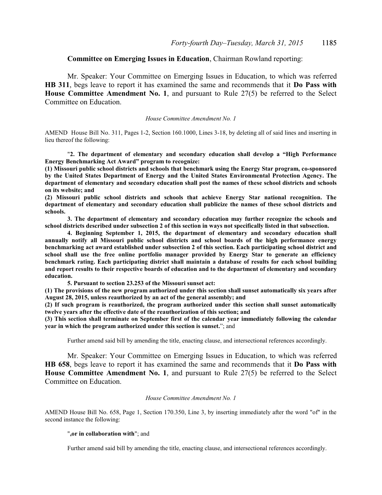### **Committee on Emerging Issues in Education**, Chairman Rowland reporting:

Mr. Speaker: Your Committee on Emerging Issues in Education, to which was referred **HB 311**, begs leave to report it has examined the same and recommends that it **Do Pass with House Committee Amendment No. 1**, and pursuant to Rule 27(5) be referred to the Select Committee on Education.

#### *House Committee Amendment No. 1*

AMEND House Bill No. 311, Pages 1-2, Section 160.1000, Lines 3-18, by deleting all of said lines and inserting in lieu thereof the following:

"**2. The department of elementary and secondary education shall develop a "High Performance Energy Benchmarking Act Award" program to recognize:**

**(1) Missouri public school districts and schools that benchmark using the Energy Star program, co-sponsored by the United States Department of Energy and the United States Environmental Protection Agency. The department of elementary and secondary education shall post the names of these school districts and schools on its website; and**

**(2) Missouri public school districts and schools that achieve Energy Star national recognition. The department of elementary and secondary education shall publicize the names of these school districts and schools.** 

**3. The department of elementary and secondary education may further recognize the schools and school districts described under subsection 2 of this section in ways not specifically listed in that subsection.**

**4. Beginning September 1, 2015, the department of elementary and secondary education shall annually notify all Missouri public school districts and school boards of the high performance energy benchmarking act award established under subsection 2 of this section. Each participating school district and school shall use the free online portfolio manager provided by Energy Star to generate an efficiency benchmark rating. Each participating district shall maintain a database of results for each school building and report results to their respective boards of education and to the department of elementary and secondary education.**

**5. Pursuant to section 23.253 of the Missouri sunset act:** 

**(1) The provisions of the new program authorized under this section shall sunset automatically six years after August 28, 2015, unless reauthorized by an act of the general assembly; and**

**(2) If such program is reauthorized, the program authorized under this section shall sunset automatically twelve years after the effective date of the reauthorization of this section; and**

**(3) This section shall terminate on September first of the calendar year immediately following the calendar year in which the program authorized under this section is sunset.**"; and

Further amend said bill by amending the title, enacting clause, and intersectional references accordingly.

Mr. Speaker: Your Committee on Emerging Issues in Education, to which was referred **HB 658**, begs leave to report it has examined the same and recommends that it **Do Pass with House Committee Amendment No. 1**, and pursuant to Rule 27(5) be referred to the Select Committee on Education.

#### *House Committee Amendment No. 1*

AMEND House Bill No. 658, Page 1, Section 170.350, Line 3, by inserting immediately after the word "of" in the second instance the following:

#### "**,or in collaboration with**"; and

Further amend said bill by amending the title, enacting clause, and intersectional references accordingly.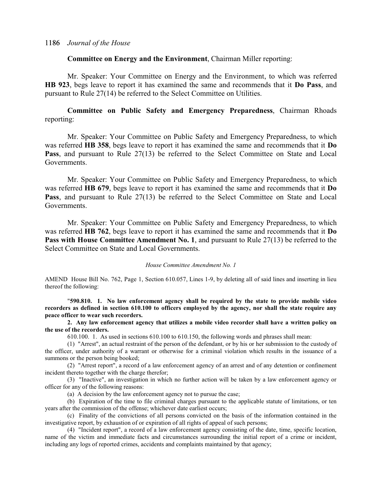#### **Committee on Energy and the Environment**, Chairman Miller reporting:

Mr. Speaker: Your Committee on Energy and the Environment, to which was referred **HB 923**, begs leave to report it has examined the same and recommends that it **Do Pass**, and pursuant to Rule 27(14) be referred to the Select Committee on Utilities.

**Committee on Public Safety and Emergency Preparedness**, Chairman Rhoads reporting:

Mr. Speaker: Your Committee on Public Safety and Emergency Preparedness, to which was referred **HB 358**, begs leave to report it has examined the same and recommends that it **Do** Pass, and pursuant to Rule 27(13) be referred to the Select Committee on State and Local Governments.

Mr. Speaker: Your Committee on Public Safety and Emergency Preparedness, to which was referred **HB 679**, begs leave to report it has examined the same and recommends that it **Do Pass**, and pursuant to Rule 27(13) be referred to the Select Committee on State and Local Governments.

Mr. Speaker: Your Committee on Public Safety and Emergency Preparedness, to which was referred **HB 762**, begs leave to report it has examined the same and recommends that it **Do Pass with House Committee Amendment No. 1**, and pursuant to Rule 27(13) be referred to the Select Committee on State and Local Governments.

#### *House Committee Amendment No. 1*

AMEND House Bill No. 762, Page 1, Section 610.057, Lines 1-9, by deleting all of said lines and inserting in lieu thereof the following:

"**590.810. 1. No law enforcement agency shall be required by the state to provide mobile video recorders as defined in section 610.100 to officers employed by the agency, nor shall the state require any peace officer to wear such recorders.**

**2. Any law enforcement agency that utilizes a mobile video recorder shall have a written policy on the use of the recorders.**

610.100. 1. As used in sections 610.100 to 610.150, the following words and phrases shall mean:

(1) "Arrest", an actual restraint of the person of the defendant, or by his or her submission to the custody of the officer, under authority of a warrant or otherwise for a criminal violation which results in the issuance of a summons or the person being booked;

(2) "Arrest report", a record of a law enforcement agency of an arrest and of any detention or confinement incident thereto together with the charge therefor;

(3) "Inactive", an investigation in which no further action will be taken by a law enforcement agency or officer for any of the following reasons:

(a) A decision by the law enforcement agency not to pursue the case;

(b) Expiration of the time to file criminal charges pursuant to the applicable statute of limitations, or ten years after the commission of the offense; whichever date earliest occurs;

(c) Finality of the convictions of all persons convicted on the basis of the information contained in the investigative report, by exhaustion of or expiration of all rights of appeal of such persons;

(4) "Incident report", a record of a law enforcement agency consisting of the date, time, specific location, name of the victim and immediate facts and circumstances surrounding the initial report of a crime or incident, including any logs of reported crimes, accidents and complaints maintained by that agency;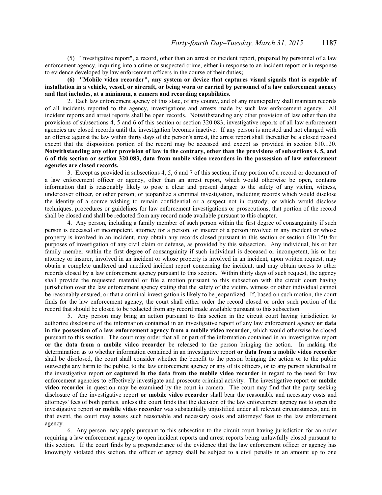(5) "Investigative report", a record, other than an arrest or incident report, prepared by personnel of a law enforcement agency, inquiring into a crime or suspected crime, either in response to an incident report or in response to evidence developed by law enforcement officers in the course of their duties**;**

**(6) "Mobile video recorder", any system or device that captures visual signals that is capable of installation in a vehicle, vessel, or aircraft, or being worn or carried by personnel of a law enforcement agency and that includes, at a minimum, a camera and recording capabilities**.

2. Each law enforcement agency of this state, of any county, and of any municipality shall maintain records of all incidents reported to the agency, investigations and arrests made by such law enforcement agency. All incident reports and arrest reports shall be open records. Notwithstanding any other provision of law other than the provisions of subsections 4, 5 and 6 of this section or section 320.083, investigative reports of all law enforcement agencies are closed records until the investigation becomes inactive. If any person is arrested and not charged with an offense against the law within thirty days of the person's arrest, the arrest report shall thereafter be a closed record except that the disposition portion of the record may be accessed and except as provided in section 610.120. **Notwithstanding any other provision of law to the contrary, other than the provisions of subsections 4, 5, and 6 of this section or section 320.083, data from mobile video recorders in the possession of law enforcement agencies are closed records.**

3. Except as provided in subsections 4, 5, 6 and 7 of this section, if any portion of a record or document of a law enforcement officer or agency, other than an arrest report, which would otherwise be open, contains information that is reasonably likely to pose a clear and present danger to the safety of any victim, witness, undercover officer, or other person; or jeopardize a criminal investigation, including records which would disclose the identity of a source wishing to remain confidential or a suspect not in custody; or which would disclose techniques, procedures or guidelines for law enforcement investigations or prosecutions, that portion of the record shall be closed and shall be redacted from any record made available pursuant to this chapter.

4. Any person, including a family member of such person within the first degree of consanguinity if such person is deceased or incompetent, attorney for a person, or insurer of a person involved in any incident or whose property is involved in an incident, may obtain any records closed pursuant to this section or section 610.150 for purposes of investigation of any civil claim or defense, as provided by this subsection. Any individual, his or her family member within the first degree of consanguinity if such individual is deceased or incompetent, his or her attorney or insurer, involved in an incident or whose property is involved in an incident, upon written request, may obtain a complete unaltered and unedited incident report concerning the incident, and may obtain access to other records closed by a law enforcement agency pursuant to this section. Within thirty days of such request, the agency shall provide the requested material or file a motion pursuant to this subsection with the circuit court having jurisdiction over the law enforcement agency stating that the safety of the victim, witness or other individual cannot be reasonably ensured, or that a criminal investigation is likely to be jeopardized. If, based on such motion, the court finds for the law enforcement agency, the court shall either order the record closed or order such portion of the record that should be closed to be redacted from any record made available pursuant to this subsection.

5. Any person may bring an action pursuant to this section in the circuit court having jurisdiction to authorize disclosure of the information contained in an investigative report of any law enforcement agency **or data in the possession of a law enforcement agency from a mobile video recorder**, which would otherwise be closed pursuant to this section. The court may order that all or part of the information contained in an investigative report **or the data from a mobile video recorder** be released to the person bringing the action. In making the determination as to whether information contained in an investigative report **or data from a mobile video recorder** shall be disclosed, the court shall consider whether the benefit to the person bringing the action or to the public outweighs any harm to the public, to the law enforcement agency or any of its officers, or to any person identified in the investigative report **or captured in the data from the mobile video recorder** in regard to the need for law enforcement agencies to effectively investigate and prosecute criminal activity. The investigative report **or mobile video recorder** in question may be examined by the court in camera. The court may find that the party seeking disclosure of the investigative report **or mobile video recorder** shall bear the reasonable and necessary costs and attorneys' fees of both parties, unless the court finds that the decision of the law enforcement agency not to open the investigative report **or mobile video recorder** was substantially unjustified under all relevant circumstances, and in that event, the court may assess such reasonable and necessary costs and attorneys' fees to the law enforcement agency.

6. Any person may apply pursuant to this subsection to the circuit court having jurisdiction for an order requiring a law enforcement agency to open incident reports and arrest reports being unlawfully closed pursuant to this section. If the court finds by a preponderance of the evidence that the law enforcement officer or agency has knowingly violated this section, the officer or agency shall be subject to a civil penalty in an amount up to one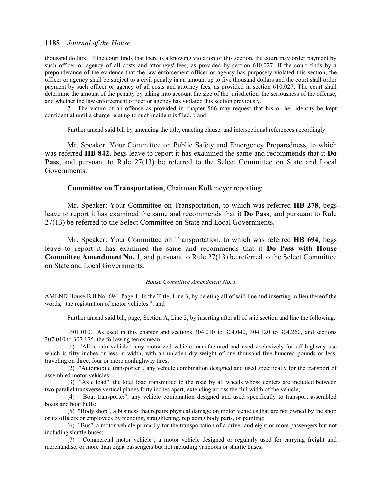thousand dollars. If the court finds that there is a knowing violation of this section, the court may order payment by such officer or agency of all costs and attorneys' fees, as provided by section 610.027. If the court finds by a preponderance of the evidence that the law enforcement officer or agency has purposely violated this section, the officer or agency shall be subject to a civil penalty in an amount up to five thousand dollars and the court shall order payment by such officer or agency of all costs and attorney fees, as provided in section 610.027. The court shall determine the amount of the penalty by taking into account the size of the jurisdiction, the seriousness of the offense, and whether the law enforcement officer or agency has violated this section previously.

7. The victim of an offense as provided in chapter 566 may request that his or her identity be kept confidential until a charge relating to such incident is filed."; and

Further amend said bill by amending the title, enacting clause, and intersectional references accordingly.

Mr. Speaker: Your Committee on Public Safety and Emergency Preparedness, to which was referred **HB 842**, begs leave to report it has examined the same and recommends that it **Do Pass**, and pursuant to Rule 27(13) be referred to the Select Committee on State and Local Governments.

#### **Committee on Transportation**, Chairman Kolkmeyer reporting:

Mr. Speaker: Your Committee on Transportation, to which was referred **HB 278**, begs leave to report it has examined the same and recommends that it **Do Pass**, and pursuant to Rule 27(13) be referred to the Select Committee on State and Local Governments.

Mr. Speaker: Your Committee on Transportation, to which was referred **HB 694**, begs leave to report it has examined the same and recommends that it **Do Pass with House Committee Amendment No. 1**, and pursuant to Rule 27(13) be referred to the Select Committee on State and Local Governments.

#### *House Committee Amendment No. 1*

AMEND House Bill No. 694, Page 1, In the Title, Line 3, by deleting all of said line and inserting in lieu thereof the words, "the registration of motor vehicles."; and

Further amend said bill, page, Section A, Line 2, by inserting after all of said section and line the following:

"301.010. As used in this chapter and sections 304.010 to 304.040, 304.120 to 304.260, and sections 307.010 to 307.175, the following terms mean:

(1) "All-terrain vehicle", any motorized vehicle manufactured and used exclusively for off-highway use which is fifty inches or less in width, with an unladen dry weight of one thousand five hundred pounds or less, traveling on three, four or more nonhighway tires;

(2) "Automobile transporter", any vehicle combination designed and used specifically for the transport of assembled motor vehicles;

(3) "Axle load", the total load transmitted to the road by all wheels whose centers are included between two parallel transverse vertical planes forty inches apart, extending across the full width of the vehicle;

(4) "Boat transporter", any vehicle combination designed and used specifically to transport assembled boats and boat hulls;

(5) "Body shop", a business that repairs physical damage on motor vehicles that are not owned by the shop or its officers or employees by mending, straightening, replacing body parts, or painting;

(6) "Bus", a motor vehicle primarily for the transportation of a driver and eight or more passengers but not including shuttle buses;

(7) "Commercial motor vehicle", a motor vehicle designed or regularly used for carrying freight and merchandise, or more than eight passengers but not including vanpools or shuttle buses;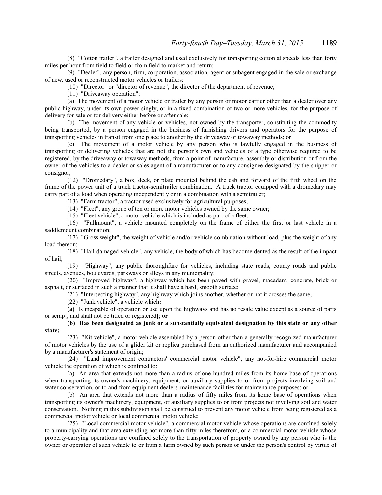(8) "Cotton trailer", a trailer designed and used exclusively for transporting cotton at speeds less than forty miles per hour from field to field or from field to market and return;

(9) "Dealer", any person, firm, corporation, association, agent or subagent engaged in the sale or exchange of new, used or reconstructed motor vehicles or trailers;

(10) "Director" or "director of revenue", the director of the department of revenue;

(11) "Driveaway operation":

(a) The movement of a motor vehicle or trailer by any person or motor carrier other than a dealer over any public highway, under its own power singly, or in a fixed combination of two or more vehicles, for the purpose of delivery for sale or for delivery either before or after sale;

(b) The movement of any vehicle or vehicles, not owned by the transporter, constituting the commodity being transported, by a person engaged in the business of furnishing drivers and operators for the purpose of transporting vehicles in transit from one place to another by the driveaway or towaway methods; or

(c) The movement of a motor vehicle by any person who is lawfully engaged in the business of transporting or delivering vehicles that are not the person's own and vehicles of a type otherwise required to be registered, by the driveaway or towaway methods, from a point of manufacture, assembly or distribution or from the owner of the vehicles to a dealer or sales agent of a manufacturer or to any consignee designated by the shipper or consignor;

(12) "Dromedary", a box, deck, or plate mounted behind the cab and forward of the fifth wheel on the frame of the power unit of a truck tractor-semitrailer combination. A truck tractor equipped with a dromedary may carry part of a load when operating independently or in a combination with a semitrailer;

(13) "Farm tractor", a tractor used exclusively for agricultural purposes;

(14) "Fleet", any group of ten or more motor vehicles owned by the same owner;

(15) "Fleet vehicle", a motor vehicle which is included as part of a fleet;

(16) "Fullmount", a vehicle mounted completely on the frame of either the first or last vehicle in a saddlemount combination;

(17) "Gross weight", the weight of vehicle and/or vehicle combination without load, plus the weight of any load thereon;

(18) "Hail-damaged vehicle", any vehicle, the body of which has become dented as the result of the impact of hail;

(19) "Highway", any public thoroughfare for vehicles, including state roads, county roads and public streets, avenues, boulevards, parkways or alleys in any municipality;

(20) "Improved highway", a highway which has been paved with gravel, macadam, concrete, brick or asphalt, or surfaced in such a manner that it shall have a hard, smooth surface;

(21) "Intersecting highway", any highway which joins another, whether or not it crosses the same;

(22) "Junk vehicle", a vehicle which**:**

**(a)** Is incapable of operation or use upon the highways and has no resale value except as a source of parts or scrap**[**, and shall not be titled or registered**]**; **or**

#### **(b) Has been designated as junk or a substantially equivalent designation by this state or any other state;**

(23) "Kit vehicle", a motor vehicle assembled by a person other than a generally recognized manufacturer of motor vehicles by the use of a glider kit or replica purchased from an authorized manufacturer and accompanied by a manufacturer's statement of origin;

(24) "Land improvement contractors' commercial motor vehicle", any not-for-hire commercial motor vehicle the operation of which is confined to:

(a) An area that extends not more than a radius of one hundred miles from its home base of operations when transporting its owner's machinery, equipment, or auxiliary supplies to or from projects involving soil and water conservation, or to and from equipment dealers' maintenance facilities for maintenance purposes; or

(b) An area that extends not more than a radius of fifty miles from its home base of operations when transporting its owner's machinery, equipment, or auxiliary supplies to or from projects not involving soil and water conservation. Nothing in this subdivision shall be construed to prevent any motor vehicle from being registered as a commercial motor vehicle or local commercial motor vehicle;

(25) "Local commercial motor vehicle", a commercial motor vehicle whose operations are confined solely to a municipality and that area extending not more than fifty miles therefrom, or a commercial motor vehicle whose property-carrying operations are confined solely to the transportation of property owned by any person who is the owner or operator of such vehicle to or from a farm owned by such person or under the person's control by virtue of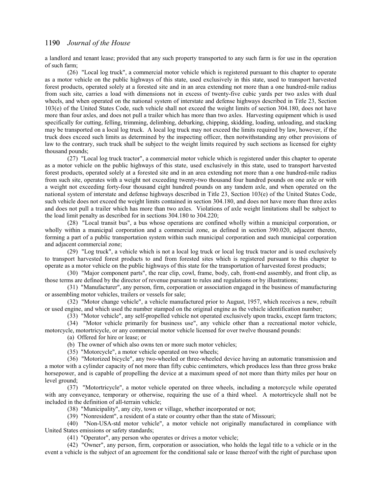a landlord and tenant lease; provided that any such property transported to any such farm is for use in the operation of such farm;

(26) "Local log truck", a commercial motor vehicle which is registered pursuant to this chapter to operate as a motor vehicle on the public highways of this state, used exclusively in this state, used to transport harvested forest products, operated solely at a forested site and in an area extending not more than a one hundred-mile radius from such site, carries a load with dimensions not in excess of twenty-five cubic yards per two axles with dual wheels, and when operated on the national system of interstate and defense highways described in Title 23, Section 103(e) of the United States Code, such vehicle shall not exceed the weight limits of section 304.180, does not have more than four axles, and does not pull a trailer which has more than two axles. Harvesting equipment which is used specifically for cutting, felling, trimming, delimbing, debarking, chipping, skidding, loading, unloading, and stacking may be transported on a local log truck. A local log truck may not exceed the limits required by law, however, if the truck does exceed such limits as determined by the inspecting officer, then notwithstanding any other provisions of law to the contrary, such truck shall be subject to the weight limits required by such sections as licensed for eighty thousand pounds;

(27) "Local log truck tractor", a commercial motor vehicle which is registered under this chapter to operate as a motor vehicle on the public highways of this state, used exclusively in this state, used to transport harvested forest products, operated solely at a forested site and in an area extending not more than a one hundred-mile radius from such site, operates with a weight not exceeding twenty-two thousand four hundred pounds on one axle or with a weight not exceeding forty-four thousand eight hundred pounds on any tandem axle, and when operated on the national system of interstate and defense highways described in Title 23, Section 103(e) of the United States Code, such vehicle does not exceed the weight limits contained in section 304.180, and does not have more than three axles and does not pull a trailer which has more than two axles. Violations of axle weight limitations shall be subject to the load limit penalty as described for in sections 304.180 to 304.220;

(28) "Local transit bus", a bus whose operations are confined wholly within a municipal corporation, or wholly within a municipal corporation and a commercial zone, as defined in section 390.020, adjacent thereto, forming a part of a public transportation system within such municipal corporation and such municipal corporation and adjacent commercial zone;

(29) "Log truck", a vehicle which is not a local log truck or local log truck tractor and is used exclusively to transport harvested forest products to and from forested sites which is registered pursuant to this chapter to operate as a motor vehicle on the public highways of this state for the transportation of harvested forest products;

(30) "Major component parts", the rear clip, cowl, frame, body, cab, front-end assembly, and front clip, as those terms are defined by the director of revenue pursuant to rules and regulations or by illustrations;

(31) "Manufacturer", any person, firm, corporation or association engaged in the business of manufacturing or assembling motor vehicles, trailers or vessels for sale;

(32) "Motor change vehicle", a vehicle manufactured prior to August, 1957, which receives a new, rebuilt or used engine, and which used the number stamped on the original engine as the vehicle identification number;

(33) "Motor vehicle", any self-propelled vehicle not operated exclusively upon tracks, except farm tractors;

(34) "Motor vehicle primarily for business use", any vehicle other than a recreational motor vehicle, motorcycle, motortricycle, or any commercial motor vehicle licensed for over twelve thousand pounds:

(a) Offered for hire or lease; or

(b) The owner of which also owns ten or more such motor vehicles;

(35) "Motorcycle", a motor vehicle operated on two wheels;

(36) "Motorized bicycle", any two-wheeled or three-wheeled device having an automatic transmission and a motor with a cylinder capacity of not more than fifty cubic centimeters, which produces less than three gross brake horsepower, and is capable of propelling the device at a maximum speed of not more than thirty miles per hour on level ground;

(37) "Motortricycle", a motor vehicle operated on three wheels, including a motorcycle while operated with any conveyance, temporary or otherwise, requiring the use of a third wheel. A motortricycle shall not be included in the definition of all-terrain vehicle;

(38) "Municipality", any city, town or village, whether incorporated or not;

(39) "Nonresident", a resident of a state or country other than the state of Missouri;

(40) "Non-USA-std motor vehicle", a motor vehicle not originally manufactured in compliance with United States emissions or safety standards;

(41) "Operator", any person who operates or drives a motor vehicle;

(42) "Owner", any person, firm, corporation or association, who holds the legal title to a vehicle or in the event a vehicle is the subject of an agreement for the conditional sale or lease thereof with the right of purchase upon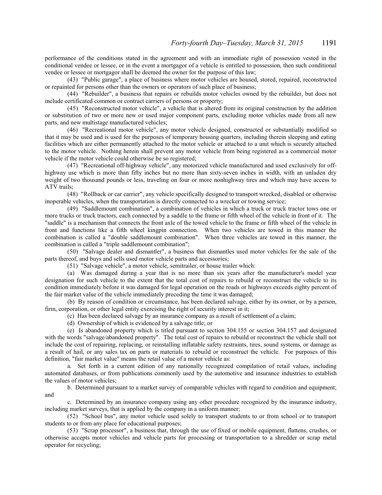performance of the conditions stated in the agreement and with an immediate right of possession vested in the conditional vendee or lessee, or in the event a mortgagor of a vehicle is entitled to possession, then such conditional vendee or lessee or mortgagor shall be deemed the owner for the purpose of this law;

(43) "Public garage", a place of business where motor vehicles are housed, stored, repaired, reconstructed or repainted for persons other than the owners or operators of such place of business;

(44) "Rebuilder", a business that repairs or rebuilds motor vehicles owned by the rebuilder, but does not include certificated common or contract carriers of persons or property;

(45) "Reconstructed motor vehicle", a vehicle that is altered from its original construction by the addition or substitution of two or more new or used major component parts, excluding motor vehicles made from all new parts, and new multistage manufactured vehicles;

(46) "Recreational motor vehicle", any motor vehicle designed, constructed or substantially modified so that it may be used and is used for the purposes of temporary housing quarters, including therein sleeping and eating facilities which are either permanently attached to the motor vehicle or attached to a unit which is securely attached to the motor vehicle. Nothing herein shall prevent any motor vehicle from being registered as a commercial motor vehicle if the motor vehicle could otherwise be so registered;

(47) "Recreational off-highway vehicle", any motorized vehicle manufactured and used exclusively for offhighway use which is more than fifty inches but no more than sixty-seven inches in width, with an unladen dry weight of two thousand pounds or less, traveling on four or more nonhighway tires and which may have access to ATV trails;

(48) "Rollback or car carrier", any vehicle specifically designed to transport wrecked, disabled or otherwise inoperable vehicles, when the transportation is directly connected to a wrecker or towing service;

(49) "Saddlemount combination", a combination of vehicles in which a truck or truck tractor tows one or more trucks or truck tractors, each connected by a saddle to the frame or fifth wheel of the vehicle in front of it. The "saddle" is a mechanism that connects the front axle of the towed vehicle to the frame or fifth wheel of the vehicle in front and functions like a fifth wheel kingpin connection. When two vehicles are towed in this manner the combination is called a "double saddlemount combination". When three vehicles are towed in this manner, the combination is called a "triple saddlemount combination";

(50) "Salvage dealer and dismantler", a business that dismantles used motor vehicles for the sale of the parts thereof, and buys and sells used motor vehicle parts and accessories;

(51) "Salvage vehicle", a motor vehicle, semitrailer, or house trailer which:

(a) Was damaged during a year that is no more than six years after the manufacturer's model year designation for such vehicle to the extent that the total cost of repairs to rebuild or reconstruct the vehicle to its condition immediately before it was damaged for legal operation on the roads or highways exceeds eighty percent of the fair market value of the vehicle immediately preceding the time it was damaged;

(b) By reason of condition or circumstance, has been declared salvage, either by its owner, or by a person, firm, corporation, or other legal entity exercising the right of security interest in it;

(c) Has been declared salvage by an insurance company as a result of settlement of a claim;

(d) Ownership of which is evidenced by a salvage title; or

(e) Is abandoned property which is titled pursuant to section 304.155 or section 304.157 and designated with the words "salvage/abandoned property". The total cost of repairs to rebuild or reconstruct the vehicle shall not include the cost of repairing, replacing, or reinstalling inflatable safety restraints, tires, sound systems, or damage as a result of hail, or any sales tax on parts or materials to rebuild or reconstruct the vehicle. For purposes of this definition, "fair market value" means the retail value of a motor vehicle as:

a. Set forth in a current edition of any nationally recognized compilation of retail values, including automated databases, or from publications commonly used by the automotive and insurance industries to establish the values of motor vehicles;

b. Determined pursuant to a market survey of comparable vehicles with regard to condition and equipment; and

c. Determined by an insurance company using any other procedure recognized by the insurance industry, including market surveys, that is applied by the company in a uniform manner;

(52) "School bus", any motor vehicle used solely to transport students to or from school or to transport students to or from any place for educational purposes;

(53) "Scrap processor", a business that, through the use of fixed or mobile equipment, flattens, crushes, or otherwise accepts motor vehicles and vehicle parts for processing or transportation to a shredder or scrap metal operator for recycling;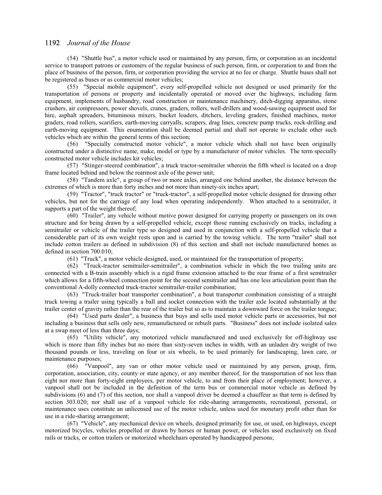(54) "Shuttle bus", a motor vehicle used or maintained by any person, firm, or corporation as an incidental service to transport patrons or customers of the regular business of such person, firm, or corporation to and from the place of business of the person, firm, or corporation providing the service at no fee or charge. Shuttle buses shall not be registered as buses or as commercial motor vehicles;

(55) "Special mobile equipment", every self-propelled vehicle not designed or used primarily for the transportation of persons or property and incidentally operated or moved over the highways, including farm equipment, implements of husbandry, road construction or maintenance machinery, ditch-digging apparatus, stone crushers, air compressors, power shovels, cranes, graders, rollers, well-drillers and wood-sawing equipment used for hire, asphalt spreaders, bituminous mixers, bucket loaders, ditchers, leveling graders, finished machines, motor graders, road rollers, scarifiers, earth-moving carryalls, scrapers, drag lines, concrete pump trucks, rock-drilling and earth-moving equipment. This enumeration shall be deemed partial and shall not operate to exclude other such vehicles which are within the general terms of this section;

(56) "Specially constructed motor vehicle", a motor vehicle which shall not have been originally constructed under a distinctive name, make, model or type by a manufacturer of motor vehicles. The term specially constructed motor vehicle includes kit vehicles;

(57) "Stinger-steered combination", a truck tractor-semitrailer wherein the fifth wheel is located on a drop frame located behind and below the rearmost axle of the power unit;

(58) "Tandem axle", a group of two or more axles, arranged one behind another, the distance between the extremes of which is more than forty inches and not more than ninety-six inches apart;

(59) "Tractor", "truck tractor" or "truck-tractor", a self-propelled motor vehicle designed for drawing other vehicles, but not for the carriage of any load when operating independently. When attached to a semitrailer, it supports a part of the weight thereof;

(60) "Trailer", any vehicle without motive power designed for carrying property or passengers on its own structure and for being drawn by a self-propelled vehicle, except those running exclusively on tracks, including a semitrailer or vehicle of the trailer type so designed and used in conjunction with a self-propelled vehicle that a considerable part of its own weight rests upon and is carried by the towing vehicle. The term "trailer" shall not include cotton trailers as defined in subdivision (8) of this section and shall not include manufactured homes as defined in section 700.010;

(61) "Truck", a motor vehicle designed, used, or maintained for the transportation of property;

(62) "Truck-tractor semitrailer-semitrailer", a combination vehicle in which the two trailing units are connected with a B-train assembly which is a rigid frame extension attached to the rear frame of a first semitrailer which allows for a fifth-wheel connection point for the second semitrailer and has one less articulation point than the conventional A-dolly connected truck-tractor semitrailer-trailer combination;

(63) "Truck-trailer boat transporter combination", a boat transporter combination consisting of a straight truck towing a trailer using typically a ball and socket connection with the trailer axle located substantially at the trailer center of gravity rather than the rear of the trailer but so as to maintain a downward force on the trailer tongue;

(64) "Used parts dealer", a business that buys and sells used motor vehicle parts or accessories, but not including a business that sells only new, remanufactured or rebuilt parts. "Business" does not include isolated sales at a swap meet of less than three days;

(65) "Utility vehicle", any motorized vehicle manufactured and used exclusively for off-highway use which is more than fifty inches but no more than sixty-seven inches in width, with an unladen dry weight of two thousand pounds or less, traveling on four or six wheels, to be used primarily for landscaping, lawn care, or maintenance purposes;

(66) "Vanpool", any van or other motor vehicle used or maintained by any person, group, firm, corporation, association, city, county or state agency, or any member thereof, for the transportation of not less than eight nor more than forty-eight employees, per motor vehicle, to and from their place of employment; however, a vanpool shall not be included in the definition of the term bus or commercial motor vehicle as defined by subdivisions (6) and (7) of this section, nor shall a vanpool driver be deemed a chauffeur as that term is defined by section 303.020; nor shall use of a vanpool vehicle for ride-sharing arrangements, recreational, personal, or maintenance uses constitute an unlicensed use of the motor vehicle, unless used for monetary profit other than for use in a ride-sharing arrangement;

(67) "Vehicle", any mechanical device on wheels, designed primarily for use, or used, on highways, except motorized bicycles, vehicles propelled or drawn by horses or human power, or vehicles used exclusively on fixed rails or tracks, or cotton trailers or motorized wheelchairs operated by handicapped persons;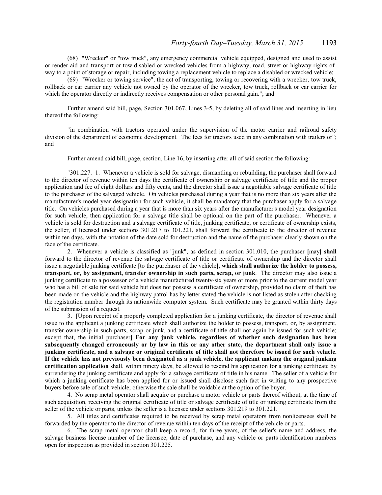(68) "Wrecker" or "tow truck", any emergency commercial vehicle equipped, designed and used to assist or render aid and transport or tow disabled or wrecked vehicles from a highway, road, street or highway rights-ofway to a point of storage or repair, including towing a replacement vehicle to replace a disabled or wrecked vehicle;

(69) "Wrecker or towing service", the act of transporting, towing or recovering with a wrecker, tow truck, rollback or car carrier any vehicle not owned by the operator of the wrecker, tow truck, rollback or car carrier for which the operator directly or indirectly receives compensation or other personal gain."; and

Further amend said bill, page, Section 301.067, Lines 3-5, by deleting all of said lines and inserting in lieu thereof the following:

"in combination with tractors operated under the supervision of the motor carrier and railroad safety division of the department of economic development. The fees for tractors used in any combination with trailers or"; and

Further amend said bill, page, section, Line 16, by inserting after all of said section the following:

"301.227. 1. Whenever a vehicle is sold for salvage, dismantling or rebuilding, the purchaser shall forward to the director of revenue within ten days the certificate of ownership or salvage certificate of title and the proper application and fee of eight dollars and fifty cents, and the director shall issue a negotiable salvage certificate of title to the purchaser of the salvaged vehicle. On vehicles purchased during a year that is no more than six years after the manufacturer's model year designation for such vehicle, it shall be mandatory that the purchaser apply for a salvage title. On vehicles purchased during a year that is more than six years after the manufacturer's model year designation for such vehicle, then application for a salvage title shall be optional on the part of the purchaser. Whenever a vehicle is sold for destruction and a salvage certificate of title, junking certificate, or certificate of ownership exists, the seller, if licensed under sections 301.217 to 301.221, shall forward the certificate to the director of revenue within ten days, with the notation of the date sold for destruction and the name of the purchaser clearly shown on the face of the certificate.

2. Whenever a vehicle is classified as "junk", as defined in section 301.010, the purchaser **[**may**] shall** forward to the director of revenue the salvage certificate of title or certificate of ownership and the director shall issue a negotiable junking certificate **[**to the purchaser of the vehicle**], which shall authorize the holder to possess, transport, or, by assignment, transfer ownership in such parts, scrap, or junk**. The director may also issue a junking certificate to a possessor of a vehicle manufactured twenty-six years or more prior to the current model year who has a bill of sale for said vehicle but does not possess a certificate of ownership, provided no claim of theft has been made on the vehicle and the highway patrol has by letter stated the vehicle is not listed as stolen after checking the registration number through its nationwide computer system. Such certificate may be granted within thirty days of the submission of a request.

3. **[**Upon receipt of a properly completed application for a junking certificate, the director of revenue shall issue to the applicant a junking certificate which shall authorize the holder to possess, transport, or, by assignment, transfer ownership in such parts, scrap or junk, and a certificate of title shall not again be issued for such vehicle; except that, the initial purchaser**] For any junk vehicle, regardless of whether such designation has been subsequently changed erroneously or by law in this or any other state, the department shall only issue a junking certificate, and a salvage or original certificate of title shall not therefore be issued for such vehicle. If the vehicle has not previously been designated as a junk vehicle, the applicant making the original junking certification application** shall, within ninety days, be allowed to rescind his application for a junking certificate by surrendering the junking certificate and apply for a salvage certificate of title in his name. The seller of a vehicle for which a junking certificate has been applied for or issued shall disclose such fact in writing to any prospective buyers before sale of such vehicle; otherwise the sale shall be voidable at the option of the buyer.

4. No scrap metal operator shall acquire or purchase a motor vehicle or parts thereof without, at the time of such acquisition, receiving the original certificate of title or salvage certificate of title or junking certificate from the seller of the vehicle or parts, unless the seller is a licensee under sections 301.219 to 301.221.

5. All titles and certificates required to be received by scrap metal operators from nonlicensees shall be forwarded by the operator to the director of revenue within ten days of the receipt of the vehicle or parts.

6. The scrap metal operator shall keep a record, for three years, of the seller's name and address, the salvage business license number of the licensee, date of purchase, and any vehicle or parts identification numbers open for inspection as provided in section 301.225.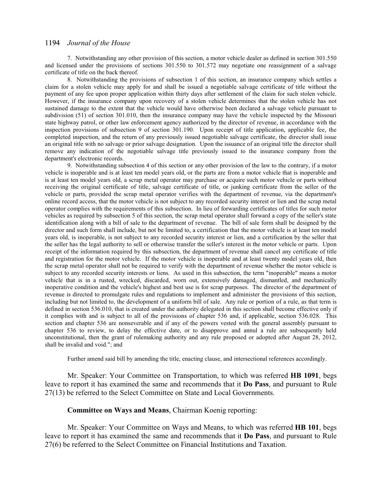7. Notwithstanding any other provision of this section, a motor vehicle dealer as defined in section 301.550 and licensed under the provisions of sections 301.550 to 301.572 may negotiate one reassignment of a salvage certificate of title on the back thereof.

8. Notwithstanding the provisions of subsection 1 of this section, an insurance company which settles a claim for a stolen vehicle may apply for and shall be issued a negotiable salvage certificate of title without the payment of any fee upon proper application within thirty days after settlement of the claim for such stolen vehicle. However, if the insurance company upon recovery of a stolen vehicle determines that the stolen vehicle has not sustained damage to the extent that the vehicle would have otherwise been declared a salvage vehicle pursuant to subdivision (51) of section 301.010, then the insurance company may have the vehicle inspected by the Missouri state highway patrol, or other law enforcement agency authorized by the director of revenue, in accordance with the inspection provisions of subsection 9 of section 301.190. Upon receipt of title application, applicable fee, the completed inspection, and the return of any previously issued negotiable salvage certificate, the director shall issue an original title with no salvage or prior salvage designation. Upon the issuance of an original title the director shall remove any indication of the negotiable salvage title previously issued to the insurance company from the department's electronic records.

9. Notwithstanding subsection 4 of this section or any other provision of the law to the contrary, if a motor vehicle is inoperable and is at least ten model years old, or the parts are from a motor vehicle that is inoperable and is at least ten model years old, a scrap metal operator may purchase or acquire such motor vehicle or parts without receiving the original certificate of title, salvage certificate of title, or junking certificate from the seller of the vehicle or parts, provided the scrap metal operator verifies with the department of revenue, via the department's online record access, that the motor vehicle is not subject to any recorded security interest or lien and the scrap metal operator complies with the requirements of this subsection. In lieu of forwarding certificates of titles for such motor vehicles as required by subsection 5 of this section, the scrap metal operator shall forward a copy of the seller's state identification along with a bill of sale to the department of revenue. The bill of sale form shall be designed by the director and such form shall include, but not be limited to, a certification that the motor vehicle is at least ten model years old, is inoperable, is not subject to any recorded security interest or lien, and a certification by the seller that the seller has the legal authority to sell or otherwise transfer the seller's interest in the motor vehicle or parts. Upon receipt of the information required by this subsection, the department of revenue shall cancel any certificate of title and registration for the motor vehicle. If the motor vehicle is inoperable and at least twenty model years old, then the scrap metal operator shall not be required to verify with the department of revenue whether the motor vehicle is subject to any recorded security interests or liens. As used in this subsection, the term "inoperable" means a motor vehicle that is in a rusted, wrecked, discarded, worn out, extensively damaged, dismantled, and mechanically inoperative condition and the vehicle's highest and best use is for scrap purposes. The director of the department of revenue is directed to promulgate rules and regulations to implement and administer the provisions of this section, including but not limited to, the development of a uniform bill of sale. Any rule or portion of a rule, as that term is defined in section 536.010, that is created under the authority delegated in this section shall become effective only if it complies with and is subject to all of the provisions of chapter 536 and, if applicable, section 536.028. This section and chapter 536 are nonseverable and if any of the powers vested with the general assembly pursuant to chapter 536 to review, to delay the effective date, or to disapprove and annul a rule are subsequently held unconstitutional, then the grant of rulemaking authority and any rule proposed or adopted after August 28, 2012, shall be invalid and void."; and

Further amend said bill by amending the title, enacting clause, and intersectional references accordingly.

Mr. Speaker: Your Committee on Transportation, to which was referred **HB 1091**, begs leave to report it has examined the same and recommends that it **Do Pass**, and pursuant to Rule 27(13) be referred to the Select Committee on State and Local Governments.

#### **Committee on Ways and Means**, Chairman Koenig reporting:

Mr. Speaker: Your Committee on Ways and Means, to which was referred **HB 101**, begs leave to report it has examined the same and recommends that it **Do Pass**, and pursuant to Rule 27(6) be referred to the Select Committee on Financial Institutions and Taxation.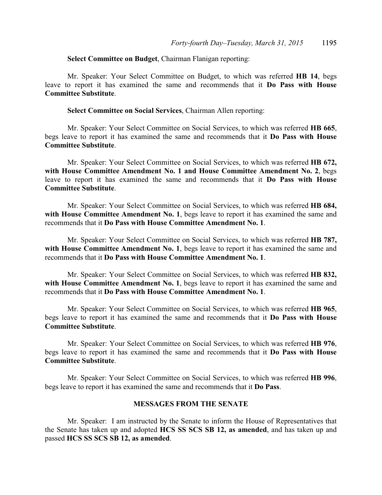### **Select Committee on Budget**, Chairman Flanigan reporting:

Mr. Speaker: Your Select Committee on Budget, to which was referred **HB 14**, begs leave to report it has examined the same and recommends that it **Do Pass with House Committee Substitute**.

**Select Committee on Social Services**, Chairman Allen reporting:

Mr. Speaker: Your Select Committee on Social Services, to which was referred **HB 665**, begs leave to report it has examined the same and recommends that it **Do Pass with House Committee Substitute**.

Mr. Speaker: Your Select Committee on Social Services, to which was referred **HB 672, with House Committee Amendment No. 1 and House Committee Amendment No. 2**, begs leave to report it has examined the same and recommends that it **Do Pass with House Committee Substitute**.

Mr. Speaker: Your Select Committee on Social Services, to which was referred **HB 684, with House Committee Amendment No. 1**, begs leave to report it has examined the same and recommends that it **Do Pass with House Committee Amendment No. 1**.

Mr. Speaker: Your Select Committee on Social Services, to which was referred **HB 787, with House Committee Amendment No. 1**, begs leave to report it has examined the same and recommends that it **Do Pass with House Committee Amendment No. 1**.

Mr. Speaker: Your Select Committee on Social Services, to which was referred **HB 832, with House Committee Amendment No. 1**, begs leave to report it has examined the same and recommends that it **Do Pass with House Committee Amendment No. 1**.

Mr. Speaker: Your Select Committee on Social Services, to which was referred **HB 965**, begs leave to report it has examined the same and recommends that it **Do Pass with House Committee Substitute**.

Mr. Speaker: Your Select Committee on Social Services, to which was referred **HB 976**, begs leave to report it has examined the same and recommends that it **Do Pass with House Committee Substitute**.

Mr. Speaker: Your Select Committee on Social Services, to which was referred **HB 996**, begs leave to report it has examined the same and recommends that it **Do Pass**.

## **MESSAGES FROM THE SENATE**

Mr. Speaker: I am instructed by the Senate to inform the House of Representatives that the Senate has taken up and adopted **HCS SS SCS SB 12, as amended**, and has taken up and passed **HCS SS SCS SB 12, as amended**.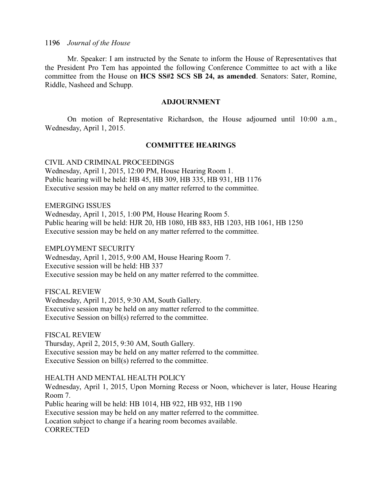Mr. Speaker: I am instructed by the Senate to inform the House of Representatives that the President Pro Tem has appointed the following Conference Committee to act with a like committee from the House on **HCS SS#2 SCS SB 24, as amended**. Senators: Sater, Romine, Riddle, Nasheed and Schupp.

#### **ADJOURNMENT**

On motion of Representative Richardson, the House adjourned until 10:00 a.m., Wednesday, April 1, 2015.

## **COMMITTEE HEARINGS**

CIVIL AND CRIMINAL PROCEEDINGS Wednesday, April 1, 2015, 12:00 PM, House Hearing Room 1. Public hearing will be held: HB 45, HB 309, HB 335, HB 931, HB 1176 Executive session may be held on any matter referred to the committee.

EMERGING ISSUES Wednesday, April 1, 2015, 1:00 PM, House Hearing Room 5. Public hearing will be held: HJR 20, HB 1080, HB 883, HB 1203, HB 1061, HB 1250 Executive session may be held on any matter referred to the committee.

EMPLOYMENT SECURITY Wednesday, April 1, 2015, 9:00 AM, House Hearing Room 7. Executive session will be held: HB 337 Executive session may be held on any matter referred to the committee.

FISCAL REVIEW Wednesday, April 1, 2015, 9:30 AM, South Gallery. Executive session may be held on any matter referred to the committee. Executive Session on bill(s) referred to the committee.

FISCAL REVIEW Thursday, April 2, 2015, 9:30 AM, South Gallery. Executive session may be held on any matter referred to the committee. Executive Session on bill(s) referred to the committee.

HEALTH AND MENTAL HEALTH POLICY Wednesday, April 1, 2015, Upon Morning Recess or Noon, whichever is later, House Hearing Room 7. Public hearing will be held: HB 1014, HB 922, HB 932, HB 1190 Executive session may be held on any matter referred to the committee. Location subject to change if a hearing room becomes available. **CORRECTED**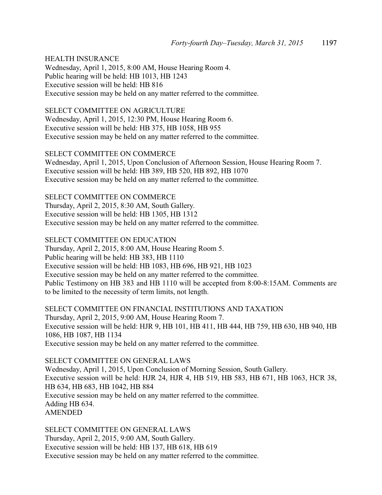### HEALTH INSURANCE

Wednesday, April 1, 2015, 8:00 AM, House Hearing Room 4. Public hearing will be held: HB 1013, HB 1243 Executive session will be held: HB 816 Executive session may be held on any matter referred to the committee.

### SELECT COMMITTEE ON AGRICULTURE

Wednesday, April 1, 2015, 12:30 PM, House Hearing Room 6. Executive session will be held: HB 375, HB 1058, HB 955 Executive session may be held on any matter referred to the committee.

### SELECT COMMITTEE ON COMMERCE

Wednesday, April 1, 2015, Upon Conclusion of Afternoon Session, House Hearing Room 7. Executive session will be held: HB 389, HB 520, HB 892, HB 1070 Executive session may be held on any matter referred to the committee.

SELECT COMMITTEE ON COMMERCE Thursday, April 2, 2015, 8:30 AM, South Gallery. Executive session will be held: HB 1305, HB 1312 Executive session may be held on any matter referred to the committee.

### SELECT COMMITTEE ON EDUCATION

Thursday, April 2, 2015, 8:00 AM, House Hearing Room 5. Public hearing will be held: HB 383, HB 1110 Executive session will be held: HB 1083, HB 696, HB 921, HB 1023 Executive session may be held on any matter referred to the committee. Public Testimony on HB 383 and HB 1110 will be accepted from 8:00-8:15AM. Comments are to be limited to the necessity of term limits, not length.

SELECT COMMITTEE ON FINANCIAL INSTITUTIONS AND TAXATION Thursday, April 2, 2015, 9:00 AM, House Hearing Room 7. Executive session will be held: HJR 9, HB 101, HB 411, HB 444, HB 759, HB 630, HB 940, HB 1086, HB 1087, HB 1134 Executive session may be held on any matter referred to the committee.

## SELECT COMMITTEE ON GENERAL LAWS Wednesday, April 1, 2015, Upon Conclusion of Morning Session, South Gallery. Executive session will be held: HJR 24, HJR 4, HB 519, HB 583, HB 671, HB 1063, HCR 38, HB 634, HB 683, HB 1042, HB 884 Executive session may be held on any matter referred to the committee. Adding HB 634. AMENDED

SELECT COMMITTEE ON GENERAL LAWS Thursday, April 2, 2015, 9:00 AM, South Gallery. Executive session will be held: HB 137, HB 618, HB 619 Executive session may be held on any matter referred to the committee.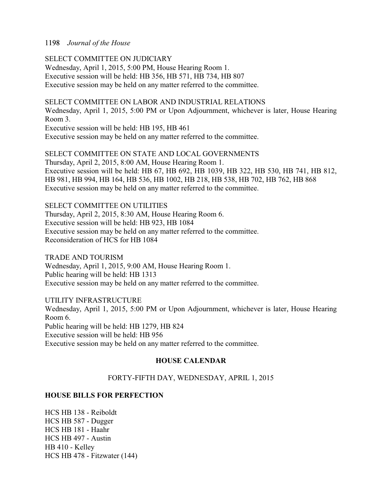SELECT COMMITTEE ON JUDICIARY

Wednesday, April 1, 2015, 5:00 PM, House Hearing Room 1. Executive session will be held: HB 356, HB 571, HB 734, HB 807 Executive session may be held on any matter referred to the committee.

SELECT COMMITTEE ON LABOR AND INDUSTRIAL RELATIONS

Wednesday, April 1, 2015, 5:00 PM or Upon Adjournment, whichever is later, House Hearing Room 3.

Executive session will be held: HB 195, HB 461

Executive session may be held on any matter referred to the committee.

SELECT COMMITTEE ON STATE AND LOCAL GOVERNMENTS

Thursday, April 2, 2015, 8:00 AM, House Hearing Room 1. Executive session will be held: HB 67, HB 692, HB 1039, HB 322, HB 530, HB 741, HB 812, HB 981, HB 994, HB 164, HB 536, HB 1002, HB 218, HB 538, HB 702, HB 762, HB 868 Executive session may be held on any matter referred to the committee.

SELECT COMMITTEE ON UTILITIES Thursday, April 2, 2015, 8:30 AM, House Hearing Room 6. Executive session will be held: HB 923, HB 1084 Executive session may be held on any matter referred to the committee. Reconsideration of HCS for HB 1084

TRADE AND TOURISM Wednesday, April 1, 2015, 9:00 AM, House Hearing Room 1. Public hearing will be held: HB 1313 Executive session may be held on any matter referred to the committee.

UTILITY INFRASTRUCTURE Wednesday, April 1, 2015, 5:00 PM or Upon Adjournment, whichever is later, House Hearing Room 6. Public hearing will be held: HB 1279, HB 824 Executive session will be held: HB 956 Executive session may be held on any matter referred to the committee.

## **HOUSE CALENDAR**

FORTY-FIFTH DAY, WEDNESDAY, APRIL 1, 2015

## **HOUSE BILLS FOR PERFECTION**

HCS HB 138 - Reiboldt HCS HB 587 - Dugger HCS HB 181 - Haahr HCS HB 497 - Austin HB 410 - Kelley HCS HB 478 - Fitzwater (144)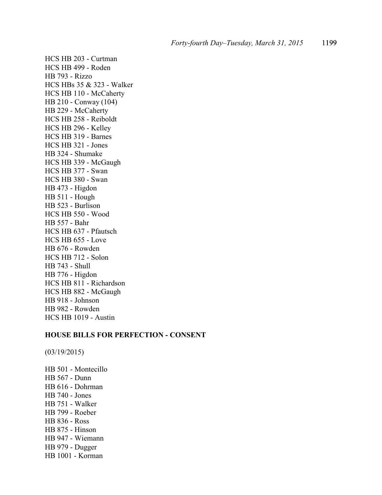HCS HB 203 - Curtman HCS HB 499 - Roden HB 793 - Rizzo HCS HBs 35 & 323 - Walker HCS HB 110 - McCaherty HB 210 - Conway (104) HB 229 - McCaherty HCS HB 258 - Reiboldt HCS HB 296 - Kelley HCS HB 319 - Barnes HCS HB 321 - Jones HB 324 - Shumake HCS HB 339 - McGaugh HCS HB 377 - Swan HCS HB 380 - Swan HB 473 - Higdon HB 511 - Hough HB 523 - Burlison HCS HB 550 - Wood HB 557 - Bahr HCS HB 637 - Pfautsch HCS HB 655 - Love HB 676 - Rowden HCS HB 712 - Solon HB 743 - Shull HB 776 - Higdon HCS HB 811 - Richardson HCS HB 882 - McGaugh HB 918 - Johnson HB 982 - Rowden HCS HB 1019 - Austin

### **HOUSE BILLS FOR PERFECTION - CONSENT**

(03/19/2015)

HB 501 - Montecillo HB 567 - Dunn HB 616 - Dohrman HB 740 - Jones HB 751 - Walker HB 799 - Roeber HB 836 - Ross HB 875 - Hinson HB 947 - Wiemann HB 979 - Dugger HB 1001 - Korman